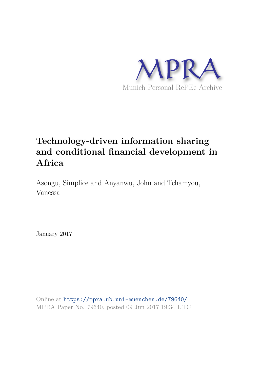

## **Technology-driven information sharing and conditional financial development in Africa**

Asongu, Simplice and Anyanwu, John and Tchamyou, Vanessa

January 2017

Online at https://mpra.ub.uni-muenchen.de/79640/ MPRA Paper No. 79640, posted 09 Jun 2017 19:34 UTC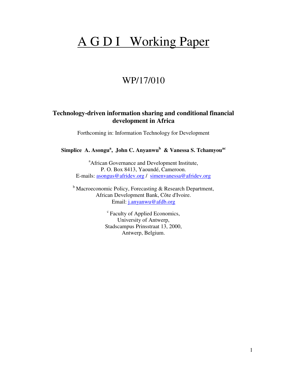# A G D I Working Paper

## WP/17/010

## **Technology-driven information sharing and conditional financial development in Africa**

Forthcoming in: Information Technology for Development

**Simplice A. Asongu<sup>a</sup> , John C. Anyanwu<sup>b</sup> & Vanessa S. Tchamyouac**

<sup>a</sup>African Governance and Development Institute, P. O. Box 8413, Yaoundé, Cameroon. E-mails: [asongus@afridev.org](mailto:asongus@afridev.org) / [simenvanessa@afridev.org](mailto:simenvanessa@afridev.org)

 $<sup>b</sup>$  Macroeconomic Policy, Forecasting & Research Department,</sup> African Development Bank, Côte d'Ivoire. Email: [j.anyanwu@afdb.org](mailto:j.anyanwu@afdb.org) 

> <sup>c</sup> Faculty of Applied Economics, University of Antwerp, Stadscampus Prinsstraat 13, 2000, Antwerp, Belgium.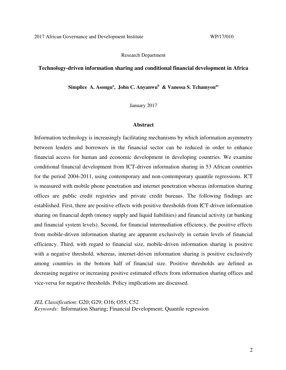#### Research Department

### **Technology-driven information sharing and conditional financial development in Africa**

**Simplice A. Asongu<sup>a</sup> , John C. Anyanwu<sup>b</sup> & Vanessa S. Tchamyouac**

January 2017

#### **Abstract**

Information technology is increasingly facilitating mechanisms by which information asymmetry between lenders and borrowers in the financial sector can be reduced in order to enhance financial access for human and economic development in developing countries. We examine conditional financial development from ICT-driven information sharing in 53 African countries for the period 2004-2011, using contemporary and non-contemporary quantile regressions. ICT is measured with mobile phone penetration and internet penetration whereas information sharing offices are public credit registries and private credit bureaus. The following findings are established. First, there are positive effects with positive thresholds from ICT-driven information sharing on financial depth (money supply and liquid liabilities) and financial activity (at banking and financial system levels). Second, for financial intermediation efficiency, the positive effects from mobile-driven information sharing are apparent exclusively in certain levels of financial efficiency. Third, with regard to financial size, mobile-driven information sharing is positive with a negative threshold, whereas, internet-driven information sharing is positive exclusively among countries in the bottom half of financial size. Positive thresholds are defined as decreasing negative or increasing positive estimated effects from information sharing offices and vice-versa for negative thresholds. Policy implications are discussed.

*JEL Classification*: G20; G29; O16; O55; C52 *Keywords*: Information Sharing; Financial Development; Quantile regression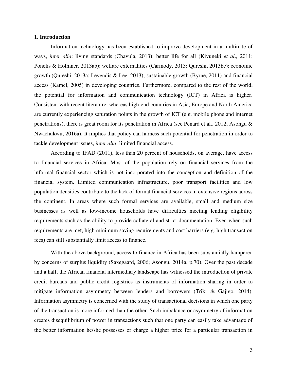## **1. Introduction**

Information technology has been established to improve development in a multitude of ways, *inter alia*: living standards (Chavula, 2013); better life for all (Kivuneki *et al*., 2011; Ponelis & Holmner, 2013ab); welfare externalities (Carmody, 2013; Qureshi, 2013bc); economic growth (Qureshi, 2013a; Levendis & Lee, 2013); sustainable growth (Byrne, 2011) and financial access (Kamel, 2005) in developing countries. Furthermore, compared to the rest of the world, the potential for information and communication technology (ICT) in Africa is higher. Consistent with recent literature, whereas high-end countries in Asia, Europe and North America are currently experiencing saturation points in the growth of ICT (e.g. mobile phone and internet penetrations), there is great room for its penetration in Africa (see Penard et al., 2012; Asongu & Nwachukwu, 2016a). It implies that policy can harness such potential for penetration in order to tackle development issues, *inter alia*: limited financial access.

According to IFAD (2011), less than 20 percent of households, on average, have access to financial services in Africa. Most of the population rely on financial services from the informal financial sector which is not incorporated into the conception and definition of the financial system. Limited communication infrastructure, poor transport facilities and low population densities contribute to the lack of formal financial services in extensive regions across the continent. In areas where such formal services are available, small and medium size businesses as well as low-income households have difficulties meeting lending eligibility requirements such as the ability to provide collateral and strict documentation. Even when such requirements are met, high minimum saving requirements and cost barriers (e.g. high transaction fees) can still substantially limit access to finance.

With the above background, access to finance in Africa has been substantially hampered by concerns of surplus liquidity (Saxegaard, 2006; Asongu, 2014a, p.70). Over the past decade and a half, the African financial intermediary landscape has witnessed the introduction of private credit bureaus and public credit registries as instruments of information sharing in order to mitigate information asymmetry between lenders and borrowers (Triki & Gajigo, 2014). Information asymmetry is concerned with the study of transactional decisions in which one party of the transaction is more informed than the other. Such imbalance or asymmetry of information creates disequilibrium of power in transactions such that one party can easily take advantage of the better information he/she possesses or charge a higher price for a particular transaction in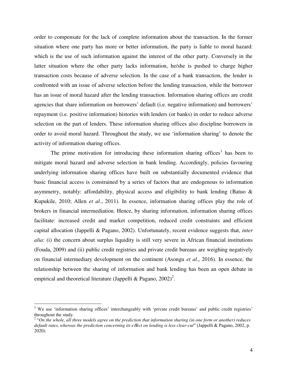order to compensate for the lack of complete information about the transaction. In the former situation where one party has more or better information, the party is liable to moral hazard: which is the use of such information against the interest of the other party. Conversely in the latter situation where the other party lacks information, he/she is pushed to charge higher transaction costs because of adverse selection. In the case of a bank transaction, the lender is confronted with an issue of adverse selection before the lending transaction, while the borrower has an issue of moral hazard after the lending transaction. Information sharing offices are credit agencies that share information on borrowers' default (i.e. negative information) and borrowers' repayment (i.e. positive information) histories with lenders (or banks) in order to reduce adverse selection on the part of lenders. These information sharing offices also discipline borrowers in order to avoid moral hazard. Throughout the study, we use 'information sharing' to denote the activity of information sharing offices.

The prime motivation for introducing these information sharing offices<sup>1</sup> has been to mitigate moral hazard and adverse selection in bank lending. Accordingly, policies favouring underlying information sharing offices have built on substantially documented evidence that basic financial access is constrained by a series of factors that are endogenous to information asymmetry, notably: affordability, physical access and eligibility to bank lending (Batuo & Kupukile, 2010; Allen *et al*., 2011). In essence, information sharing offices play the role of brokers in financial intermediation. Hence, by sharing information, information sharing offices facilitate: increased credit and market competition, reduced credit constraints and efficient capital allocation (Jappelli & Pagano, 2002). Unfortunately, recent evidence suggests that, *inter alia*: (i) the concern about surplus liquidity is still very severe in African financial institutions (Fouda, 2009) and (ii) public credit registries and private credit bureaus are weighing negatively on financial intermediary development on the continent (Asongu *et al*., 2016). In essence, the relationship between the sharing of information and bank lending has been an open debate in empirical and theoretical literature (Jappelli & Pagano,  $2002$ )<sup>2</sup>.

l

<sup>&</sup>lt;sup>1</sup> We use 'information sharing offices' interchangeably with 'private credit bureaus' and public credit registries' throughout the study.

<sup>2</sup> "*On the whole, all three models agree on the prediction that information sharing (in one form or another) reduces default rates, whereas the prediction concerning its e*ff*ect on lending is less clear-cut*" (Jappelli & Pagano, 2002, p. 2020).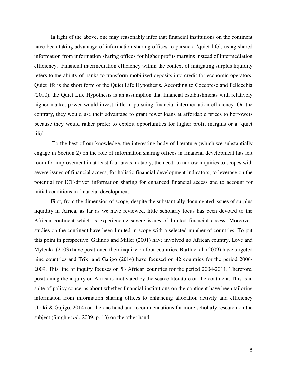In light of the above, one may reasonably infer that financial institutions on the continent have been taking advantage of information sharing offices to pursue a 'quiet life': using shared information from information sharing offices for higher profits margins instead of intermediation efficiency. Financial intermediation efficiency within the context of mitigating surplus liquidity refers to the ability of banks to transform mobilized deposits into credit for economic operators. Quiet life is the short form of the Quiet Life Hypothesis. According to Coccorese and Pellecchia (2010), the Quiet Life Hypothesis is an assumption that financial establishments with relatively higher market power would invest little in pursuing financial intermediation efficiency. On the contrary, they would use their advantage to grant fewer loans at affordable prices to borrowers because they would rather prefer to exploit opportunities for higher profit margins or a 'quiet life'

 To the best of our knowledge, the interesting body of literature (which we substantially engage in Section 2) on the role of information sharing offices in financial development has left room for improvement in at least four areas, notably, the need: to narrow inquiries to scopes with severe issues of financial access; for holistic financial development indicators; to leverage on the potential for ICT-driven information sharing for enhanced financial access and to account for initial conditions in financial development.

 First, from the dimension of scope, despite the substantially documented issues of surplus liquidity in Africa, as far as we have reviewed, little scholarly focus has been devoted to the African continent which is experiencing severe issues of limited financial access. Moreover, studies on the continent have been limited in scope with a selected number of countries. To put this point in perspective, Galindo and Miller (2001) have involved no African country, Love and Mylenko (2003) have positioned their inquiry on four countries, Barth et al. (2009) have targeted nine countries and Triki and Gajigo (2014) have focused on 42 countries for the period 2006- 2009. This line of inquiry focuses on 53 African countries for the period 2004-2011. Therefore, positioning the inquiry on Africa is motivated by the scarce literature on the continent. This is in spite of policy concerns about whether financial institutions on the continent have been tailoring information from information sharing offices to enhancing allocation activity and efficiency (Triki & Gajigo, 2014) on the one hand and recommendations for more scholarly research on the subject (Singh *et al*., 2009, p. 13) on the other hand.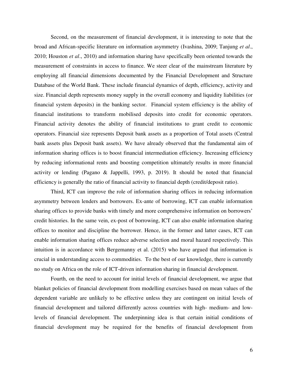Second, on the measurement of financial development, it is interesting to note that the broad and African-specific literature on information asymmetry (Ivashina, 2009; Tanjung *et al*., 2010; Houston *et al*., 2010) and information sharing have specifically been oriented towards the measurement of constraints in access to finance. We steer clear of the mainstream literature by employing all financial dimensions documented by the Financial Development and Structure Database of the World Bank. These include financial dynamics of depth, efficiency, activity and size. Financial depth represents money supply in the overall economy and liquidity liabilities (or financial system deposits) in the banking sector. Financial system efficiency is the ability of financial institutions to transform mobilised deposits into credit for economic operators. Financial activity denotes the ability of financial institutions to grant credit to economic operators. Financial size represents Deposit bank assets as a proportion of Total assets (Central bank assets plus Deposit bank assets). We have already observed that the fundamental aim of information sharing offices is to boost financial intermediation efficiency. Increasing efficiency by reducing informational rents and boosting competition ultimately results in more financial activity or lending (Pagano & Jappelli, 1993, p. 2019). It should be noted that financial efficiency is generally the ratio of financial activity to financial depth (credit/deposit ratio).

 Third, ICT can improve the role of information sharing offices in reducing information asymmetry between lenders and borrowers. Ex-ante of borrowing, ICT can enable information sharing offices to provide banks with timely and more comprehensive information on borrowers' credit histories. In the same vein, ex-post of borrowing, ICT can also enable information sharing offices to monitor and discipline the borrower. Hence, in the former and latter cases, ICT can enable information sharing offices reduce adverse selection and moral hazard respectively. This intuition is in accordance with Bergemanny et al. (2015) who have argued that information is crucial in understanding access to commodities. To the best of our knowledge, there is currently no study on Africa on the role of ICT-driven information sharing in financial development.

Fourth, on the need to account for initial levels of financial development, we argue that blanket policies of financial development from modelling exercises based on mean values of the dependent variable are unlikely to be effective unless they are contingent on initial levels of financial development and tailored differently across countries with high- medium- and lowlevels of financial development. The underpinning idea is that certain initial conditions of financial development may be required for the benefits of financial development from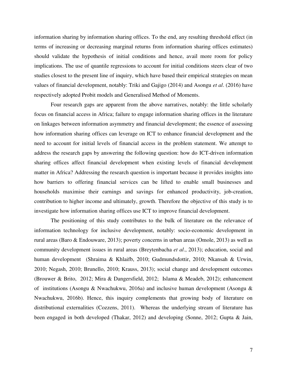information sharing by information sharing offices. To the end, any resulting threshold effect (in terms of increasing or decreasing marginal returns from information sharing offices estimates) should validate the hypothesis of initial conditions and hence, avail more room for policy implications. The use of quantile regressions to account for initial conditions steers clear of two studies closest to the present line of inquiry, which have based their empirical strategies on mean values of financial development, notably: Triki and Gajigo (2014) and Asongu *et al*. (2016) have respectively adopted Probit models and Generalised Method of Moments.

Four research gaps are apparent from the above narratives, notably: the little scholarly focus on financial access in Africa; failure to engage information sharing offices in the literature on linkages between information asymmetry and financial development; the essence of assessing how information sharing offices can leverage on ICT to enhance financial development and the need to account for initial levels of financial access in the problem statement. We attempt to address the research gaps by answering the following question: how do ICT-driven information sharing offices affect financial development when existing levels of financial development matter in Africa? Addressing the research question is important because it provides insights into how barriers to offering financial services can be lifted to enable small businesses and households maximise their earnings and savings for enhanced productivity, job-creation, contribution to higher income and ultimately, growth. Therefore the objective of this study is to investigate how information sharing offices use ICT to improve financial development.

The positioning of this study contributes to the bulk of literature on the relevance of information technology for inclusive development, notably: socio-economic development in rural areas (Baro & Endouware, 2013); poverty concerns in urban areas (Omole, 2013) as well as community development issues in rural areas (Breytenbacha *et al*., 2013); education, social and human development (Shraima & Khlaifb, 2010; Gudmundsdottir, 2010; Nkansah & Urwin, 2010; Negash, 2010; Brunello, 2010; Krauss, 2013); social change and development outcomes (Brouwer & Brito, 2012; Mira & Dangersfield, 2012; Islama & Meadeb, 2012); enhancement of institutions (Asongu & Nwachukwu, 2016a) and inclusive human development (Asongu & Nwachukwu, 2016b). Hence, this inquiry complements that growing body of literature on distributional externalities (Cozzens, 2011). Whereas the underlying stream of literature has been engaged in both developed (Thakar, 2012) and developing (Sonne, 2012; Gupta & Jain,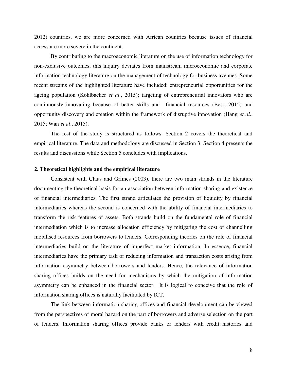2012) countries, we are more concerned with African countries because issues of financial access are more severe in the continent.

By contributing to the macroeconomic literature on the use of information technology for non-exclusive outcomes, this inquiry deviates from mainstream microeconomic and corporate information technology literature on the management of technology for business avenues. Some recent streams of the highlighted literature have included: entrepreneurial opportunities for the ageing population (Kohlbacher *et al*., 2015); targeting of entrepreneurial innovators who are continuously innovating because of better skills and financial resources (Best, 2015) and opportunity discovery and creation within the framework of disruptive innovation (Hang *et al*., 2015; Wan *et al*., 2015).

The rest of the study is structured as follows. Section 2 covers the theoretical and empirical literature. The data and methodology are discussed in Section 3. Section 4 presents the results and discussions while Section 5 concludes with implications.

## **2. Theoretical highlights and the empirical literature**

 Consistent with Claus and Grimes (2003), there are two main strands in the literature documenting the theoretical basis for an association between information sharing and existence of financial intermediaries. The first strand articulates the provision of liquidity by financial intermediaries whereas the second is concerned with the ability of financial intermediaries to transform the risk features of assets. Both strands build on the fundamental role of financial intermediation which is to increase allocation efficiency by mitigating the cost of channelling mobilised resources from borrowers to lenders. Corresponding theories on the role of financial intermediaries build on the literature of imperfect market information. In essence, financial intermediaries have the primary task of reducing information and transaction costs arising from information asymmetry between borrowers and lenders. Hence, the relevance of information sharing offices builds on the need for mechanisms by which the mitigation of information asymmetry can be enhanced in the financial sector. It is logical to conceive that the role of information sharing offices is naturally facilitated by ICT.

 The link between information sharing offices and financial development can be viewed from the perspectives of moral hazard on the part of borrowers and adverse selection on the part of lenders. Information sharing offices provide banks or lenders with credit histories and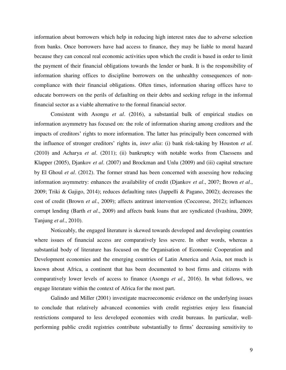information about borrowers which help in reducing high interest rates due to adverse selection from banks. Once borrowers have had access to finance, they may be liable to moral hazard because they can conceal real economic activities upon which the credit is based in order to limit the payment of their financial obligations towards the lender or bank. It is the responsibility of information sharing offices to discipline borrowers on the unhealthy consequences of noncompliance with their financial obligations. Often times, information sharing offices have to educate borrowers on the perils of defaulting on their debts and seeking refuge in the informal financial sector as a viable alternative to the formal financial sector.

Consistent with Asongu *et al*. (2016), a substantial bulk of empirical studies on information asymmetry has focused on: the role of information sharing among creditors and the impacts of creditors' rights to more information. The latter has principally been concerned with the influence of stronger creditors' rights in, *inter alia*: (i) bank risk-taking by Houston *et al*. (2010) and Acharya *et al*. (2011); (ii) bankruptcy with notable works from Claessens and Klapper (2005), Djankov *et al*. (2007) and Brockman and Unlu (2009) and (iii) capital structure by El Ghoul *et al*. (2012). The former strand has been concerned with assessing how reducing information asymmetry: enhances the availability of credit (Djankov *et al*., 2007; Brown *et al*., 2009; Triki & Gajigo, 2014); reduces defaulting rates (Jappelli & Pagano, 2002); decreases the cost of credit (Brown *et al*., 2009); affects antitrust intervention (Coccorese, 2012); influences corrupt lending (Barth *et al*., 2009) and affects bank loans that are syndicated (Ivashina, 2009; Tanjung *et al*., 2010).

 Noticeably, the engaged literature is skewed towards developed and developing countries where issues of financial access are comparatively less severe. In other words, whereas a substantial body of literature has focused on the Organisation of Economic Cooperation and Development economies and the emerging countries of Latin America and Asia, not much is known about Africa, a continent that has been documented to host firms and citizens with comparatively lower levels of access to finance (Asongu *et al*., 2016). In what follows, we engage literature within the context of Africa for the most part.

Galindo and Miller (2001) investigate macroeconomic evidence on the underlying issues to conclude that relatively advanced economies with credit registries enjoy less financial restrictions compared to less developed economies with credit bureaus. In particular, wellperforming public credit registries contribute substantially to firms' decreasing sensitivity to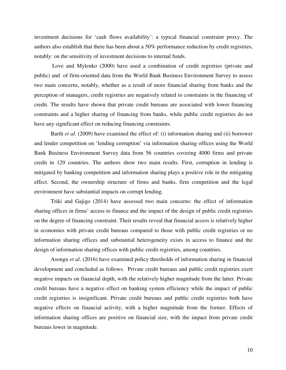investment decisions for 'cash flows availability': a typical financial constraint proxy. The authors also establish that there has been about a 50% performance reduction by credit registries, notably: on the sensitivity of investment decisions to internal funds.

 Love and Mylenko (2000) have used a combination of credit registries (private and public) and of firm-oriented data from the World Bank Business Environment Survey to assess two main concerns, notably, whether as a result of more financial sharing from banks and the perception of managers, credit registries are negatively related to constraints in the financing of credit. The results have shown that private credit bureaus are associated with lower financing constraints and a higher sharing of financing from banks, while public credit registries do not have any significant effect on reducing financing constraints.

Barth *et al*. (2009) have examined the effect of: (i) information sharing and (ii) borrower and lender competition on 'lending corruption' via information sharing offices using the World Bank Business Environment Survey data from 56 countries covering 4000 firms and private credit in 129 countries. The authors show two main results. First, corruption in lending is mitigated by banking competition and information sharing plays a positive role in the mitigating effect. Second, the ownership structure of firms and banks, firm competition and the legal environment have substantial impacts on corrupt lending.

Triki and Gajigo (2014) have assessed two main concerns: the effect of information sharing offices in firms' access to finance and the impact of the design of public credit registries on the degree of financing constraint. Their results reveal that financial access is relatively higher in economies with private credit bureaus compared to those with public credit registries or no information sharing offices and substantial heterogeneity exists in access to finance and the design of information sharing offices with public credit registries, among countries.

Asongu *et al*. (2016) have examined policy thresholds of information sharing in financial development and concluded as follows. Private credit bureaus and public credit registries exert negative impacts on financial depth, with the relatively higher magnitude from the latter. Private credit bureaus have a negative effect on banking system efficiency while the impact of public credit registries is insignificant. Private credit bureaus and public credit registries both have negative effects on financial activity, with a higher magnitude from the former. Effects of information sharing offices are positive on financial size, with the impact from private credit bureaus lower in magnitude.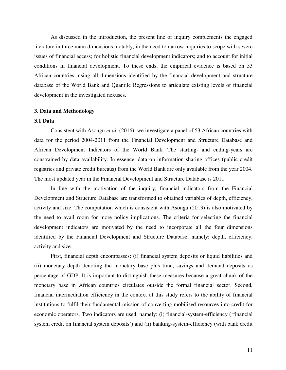As discussed in the introduction, the present line of inquiry complements the engaged literature in three main dimensions, notably, in the need to narrow inquiries to scope with severe issues of financial access; for holistic financial development indicators; and to account for initial conditions in financial development. To these ends, the empirical evidence is based on 53 African countries, using all dimensions identified by the financial development and structure database of the World Bank and Quantile Regressions to articulate existing levels of financial development in the investigated nexuses.

### **3. Data and Methodology**

## **3.1 Data**

 Consistent with Asongu *et al*. (2016), we investigate a panel of 53 African countries with data for the period 2004-2011 from the Financial Development and Structure Database and African Development Indicators of the World Bank. The starting- and ending-years are constrained by data availability. In essence, data on information sharing offices (public credit registries and private credit bureaus) from the World Bank are only available from the year 2004. The most updated year in the Financial Development and Structure Database is 2011.

In line with the motivation of the inquiry, financial indicators from the Financial Development and Structure Database are transformed to obtained variables of depth, efficiency, activity and size. The computation which is consistent with Asongu (2013) is also motivated by the need to avail room for more policy implications. The criteria for selecting the financial development indicators are motivated by the need to incorporate all the four dimensions identified by the Financial Development and Structure Database, namely: depth, efficiency, activity and size.

 First, financial depth encompasses: (i) financial system deposits or liquid liabilities and (ii) monetary depth denoting the monetary base plus time, savings and demand deposits as percentage of GDP. It is important to distinguish these measures because a great chunk of the monetary base in African countries circulates outside the formal financial sector. Second, financial intermediation efficiency in the context of this study refers to the ability of financial institutions to fulfil their fundamental mission of converting mobilised resources into credit for economic operators. Two indicators are used, namely: (i) financial-system-efficiency ('financial system credit on financial system deposits') and (ii) banking-system-efficiency (with bank credit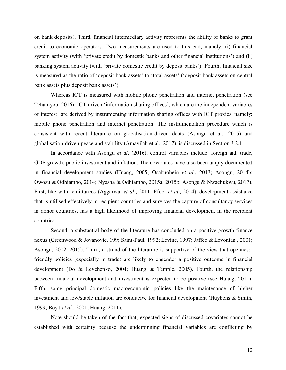on bank deposits). Third, financial intermediary activity represents the ability of banks to grant credit to economic operators. Two measurements are used to this end, namely: (i) financial system activity (with 'private credit by domestic banks and other financial institutions') and (ii) banking system activity (with 'private domestic credit by deposit banks'). Fourth, financial size is measured as the ratio of 'deposit bank assets' to 'total assets' ('deposit bank assets on central bank assets plus deposit bank assets').

 Whereas ICT is measured with mobile phone penetration and internet penetration (see Tchamyou, 2016), ICT-driven 'information sharing offices', which are the independent variables of interest are derived by instrumenting information sharing offices with ICT proxies, namely: mobile phone penetration and internet penetration. The instrumentation procedure which is consistent with recent literature on globalisation-driven debts (Asongu et al., 2015) and globalisation-driven peace and stability (Amavilah et al., 2017), is discussed in Section 3.2.1

 In accordance with Asongu *et al*. (2016), control variables include: foreign aid, trade, GDP growth, public investment and inflation. The covariates have also been amply documented in financial development studies (Huang, 2005; Osabuohein *et al*., 2013; Asongu, 2014b; Owosu & Odhiambo, 2014; Nyasha & Odhiambo, 2015a, 2015b; Asongu & Nwachukwu, 2017). First, like with remittances (Aggarwal *et al*., 2011; Efobi *et al*., 2014), development assistance that is utilised effectively in recipient countries and survives the capture of consultancy services in donor countries, has a high likelihood of improving financial development in the recipient countries.

 Second, a substantial body of the literature has concluded on a positive growth-finance nexus (Greenwood & Jovanovic, 199; Saint-Paul, 1992; Levine, 1997; Jaffee & Levonian , 2001; Asongu, 2002, 2015). Third, a strand of the literature is supportive of the view that opennessfriendly policies (especially in trade) are likely to engender a positive outcome in financial development (Do & Levchenko, 2004; Huang & Temple, 2005). Fourth, the relationship between financial development and investment is expected to be positive (see Huang, 2011). Fifth, some principal domestic macroeconomic policies like the maintenance of higher investment and low/stable inflation are conducive for financial development (Huybens & Smith, 1999; Boyd *et al*., 2001; Huang, 2011).

 Note should be taken of the fact that, expected signs of discussed covariates cannot be established with certainty because the underpinning financial variables are conflicting by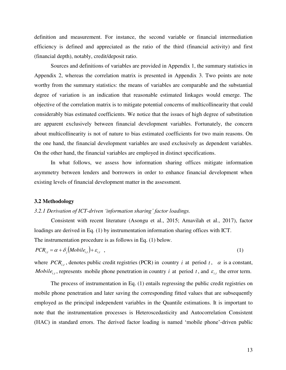definition and measurement. For instance, the second variable or financial intermediation efficiency is defined and appreciated as the ratio of the third (financial activity) and first (financial depth), notably, credit/deposit ratio.

Sources and definitions of variables are provided in Appendix 1, the summary statistics in Appendix 2, whereas the correlation matrix is presented in Appendix 3. Two points are note worthy from the summary statistics: the means of variables are comparable and the substantial degree of variation is an indication that reasonable estimated linkages would emerge. The objective of the correlation matrix is to mitigate potential concerns of multicollinearity that could considerably bias estimated coefficients. We notice that the issues of high degree of substitution are apparent exclusively between financial development variables. Fortunately, the concern about multicollinearity is not of nature to bias estimated coefficients for two main reasons. On the one hand, the financial development variables are used exclusively as dependent variables. On the other hand, the financial variables are employed in distinct specifications.

 In what follows, we assess how information sharing offices mitigate information asymmetry between lenders and borrowers in order to enhance financial development when existing levels of financial development matter in the assessment.

## **3.2 Methodology**

## *3.2.1 Derivation of ICT-driven 'information sharing' factor loadings.*

Consistent with recent literature (Asongu et al., 2015; Amavilah et al., 2017), factor loadings are derived in Eq. (1) by instrumentation information sharing offices with ICT. The instrumentation procedure is as follows in Eq. (1) below.

$$
PCR_{i,t} = \alpha + \delta_j \left( Mobile_{i,t} \right) + \varepsilon_{i,t} \quad , \tag{1}
$$

where  $PCR_{i,t}$ , denotes public credit registries (PCR) in country *i* at period *t*,  $\alpha$  is a constant, *Mobile<sub>i,t</sub>*, represents mobile phone penetration in country *i* at period *t*, and  $\varepsilon$ <sub>*i,t*</sub> the error term.

 The process of instrumentation in Eq. (1) entails regressing the public credit registries on mobile phone penetration and later saving the corresponding fitted values that are subsequently employed as the principal independent variables in the Quantile estimations. It is important to note that the instrumentation processes is Heteroscedasticity and Autocorrelation Consistent (HAC) in standard errors. The derived factor loading is named 'mobile phone'-driven public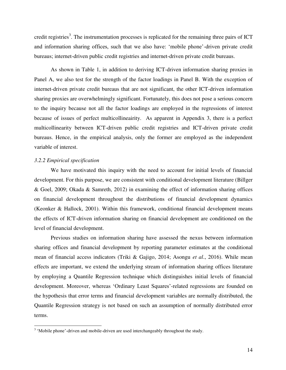credit registries<sup>3</sup>. The instrumentation processes is replicated for the remaining three pairs of ICT and information sharing offices, such that we also have: 'mobile phone'-driven private credit bureaus; internet-driven public credit registries and internet-driven private credit bureaus.

 As shown in Table 1, in addition to deriving ICT-driven information sharing proxies in Panel A, we also test for the strength of the factor loadings in Panel B. With the exception of internet-driven private credit bureaus that are not significant, the other ICT-driven information sharing proxies are overwhelmingly significant. Fortunately, this does not pose a serious concern to the inquiry because not all the factor loadings are employed in the regressions of interest because of issues of perfect multicollineairity. As apparent in Appendix 3, there is a perfect multicollinearity between ICT-driven public credit registries and ICT-driven private credit bureaus. Hence, in the empirical analysis, only the former are employed as the independent variable of interest.

### *3.2.2 Empirical specification*

l

We have motivated this inquiry with the need to account for initial levels of financial development. For this purpose, we are consistent with conditional development literature (Billger & Goel, 2009; Okada & Samreth, 2012) in examining the effect of information sharing offices on financial development throughout the distributions of financial development dynamics (Keonker & Hallock, 2001). Within this framework, conditional financial development means the effects of ICT-driven information sharing on financial development are conditioned on the level of financial development.

Previous studies on information sharing have assessed the nexus between information sharing offices and financial development by reporting parameter estimates at the conditional mean of financial access indicators (Triki & Gajigo, 2014; Asongu *et al*., 2016). While mean effects are important, we extend the underlying stream of information sharing offices literature by employing a Quantile Regression technique which distinguishes initial levels of financial development. Moreover, whereas 'Ordinary Least Squares'-related regressions are founded on the hypothesis that error terms and financial development variables are normally distributed, the Quantile Regression strategy is not based on such an assumption of normally distributed error terms.

<sup>&</sup>lt;sup>3</sup> 'Mobile phone'-driven and mobile-driven are used interchangeably throughout the study.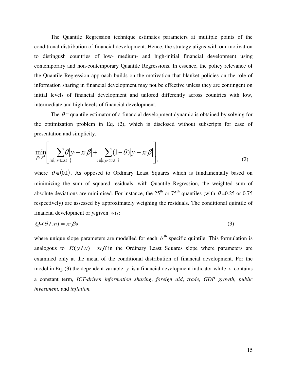The Quantile Regression technique estimates parameters at mutliple points of the conditional distribution of financial development. Hence, the strategy aligns with our motivation to distingush countries of low- medium- and high-initial financial development using contemporary and non-contemporary Quantile Regressions. In essence, the policy relevance of the Quantile Regression approach builds on the motivation that blanket policies on the role of information sharing in financial development may not be effective unless they are contingent on initial levels of financial development and tailored differently across countries with low, intermediate and high levels of financial development.

The  $\theta^{\text{th}}$  quantile estimator of a financial development dynamic is obtained by solving for the optimization problem in Eq. (2), which is disclosed without subscripts for ease of presentation and simplicity.

$$
\min_{\beta \in R^k} \left[ \sum_{i \in \{i: y_i \geq x \mid \beta\}} \theta \left| y_i - x_i \beta \right| + \sum_{i \in \{i: y_i < x \mid \beta\}} (1 - \theta) \left| y_i - x_i \beta \right| \right],\tag{2}
$$

where  $\theta \in (0,1)$ . As opposed to Ordinary Least Squares which is fundamentally based on minimizing the sum of squared residuals, with Quantile Regression, the weighted sum of absolute deviations are minimised. For instance, the 25<sup>th</sup> or 75<sup>th</sup> quantiles (with  $\theta$ =0.25 or 0.75 respectively) are assessed by approximately weighing the residuals. The conditional quintile of financial development or  $y_i$  given  $x_i$  is:

$$
Q_{y}(\theta / x_{i}) = x_{i'}\beta_{\theta} \tag{3}
$$

where unique slope parameters are modelled for each  $\theta^{\text{th}}$  specific quintile. This formulation is analogous to  $E(y/x) = x_i/\beta$  in the Ordinary Least Squares slope where parameters are examined only at the mean of the conditional distribution of financial development. For the model in Eq. (3) the dependent variable  $y_i$  is a financial development indicator while  $x_i$  contains a constant term, *ICT-driven information sharing*, *foreign aid*, *trade*, *GDP growth*, *public investment,* and *inflation.*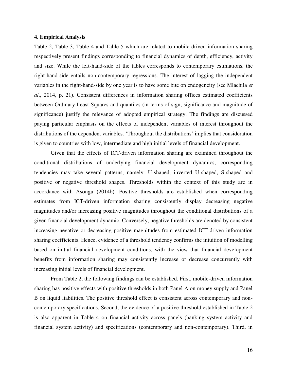## **4. Empirical Analysis**

Table 2, Table 3, Table 4 and Table 5 which are related to mobile-driven information sharing respectively present findings corresponding to financial dynamics of depth, efficiency, activity and size. While the left-hand-side of the tables corresponds to contemporary estimations, the right-hand-side entails non-contemporary regressions. The interest of lagging the independent variables in the right-hand-side by one year is to have some bite on endogeneity (see Mlachila *et al*., 2014, p. 21). Consistent differences in information sharing offices estimated coefficients between Ordinary Least Squares and quantiles (in terms of sign, significance and magnitude of significance) justify the relevance of adopted empirical strategy. The findings are discussed paying particular emphasis on the effects of independent variables of interest throughout the distributions of the dependent variables. 'Throughout the distributions' implies that consideration is given to countries with low, intermediate and high initial levels of financial development.

Given that the effects of ICT-driven information sharing are examined throughout the conditional distributions of underlying financial development dynamics, corresponding tendencies may take several patterns, namely: U-shaped, inverted U-shaped, S-shaped and positive or negative threshold shapes. Thresholds within the context of this study are in accordance with Asongu (2014b). Positive thresholds are established when corresponding estimates from ICT-driven information sharing consistently display decreasing negative magnitudes and/or increasing positive magnitudes throughout the conditional distributions of a given financial development dynamic. Conversely, negative thresholds are denoted by consistent increasing negative or decreasing positive magnitudes from estimated ICT-driven information sharing coefficients. Hence, evidence of a threshold tendency confirms the intuition of modelling based on initial financial development conditions, with the view that financial development benefits from information sharing may consistently increase or decrease concurrently with increasing initial levels of financial development.

From Table 2, the following findings can be established. First, mobile-driven information sharing has positive effects with positive thresholds in both Panel A on money supply and Panel B on liquid liabilities. The positive threshold effect is consistent across contemporary and noncontemporary specifications. Second, the evidence of a positive threshold established in Table 2 is also apparent in Table 4 on financial activity across panels (banking system activity and financial system activity) and specifications (contemporary and non-contemporary). Third, in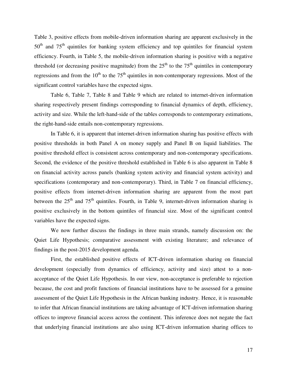Table 3, positive effects from mobile-driven information sharing are apparent exclusively in the  $50<sup>th</sup>$  and  $75<sup>th</sup>$  quintiles for banking system efficiency and top quintiles for financial system efficiency. Fourth, in Table 5, the mobile-driven information sharing is positive with a negative threshold (or decreasing positive magnitude) from the  $25<sup>th</sup>$  to the  $75<sup>th</sup>$  quintiles in contemporary regressions and from the  $10<sup>th</sup>$  to the  $75<sup>th</sup>$  quintiles in non-contemporary regressions. Most of the significant control variables have the expected signs.

Table 6, Table 7, Table 8 and Table 9 which are related to internet-driven information sharing respectively present findings corresponding to financial dynamics of depth, efficiency, activity and size. While the left-hand-side of the tables corresponds to contemporary estimations, the right-hand-side entails non-contemporary regressions.

In Table 6, it is apparent that internet-driven information sharing has positive effects with positive thresholds in both Panel A on money supply and Panel B on liquid liabilities. The positive threshold effect is consistent across contemporary and non-contemporary specifications. Second, the evidence of the positive threshold established in Table 6 is also apparent in Table 8 on financial activity across panels (banking system activity and financial system activity) and specifications (contemporary and non-contemporary). Third, in Table 7 on financial efficiency, positive effects from internet-driven information sharing are apparent from the most part between the  $25<sup>th</sup>$  and  $75<sup>th</sup>$  quintiles. Fourth, in Table 9, internet-driven information sharing is positive exclusively in the bottom quintiles of financial size. Most of the significant control variables have the expected signs.

 We now further discuss the findings in three main strands, namely discussion on: the Quiet Life Hypothesis; comparative assessment with existing literature; and relevance of findings in the post-2015 development agenda.

 First, the established positive effects of ICT-driven information sharing on financial development (especially from dynamics of efficiency, activity and size) attest to a nonacceptance of the Quiet Life Hypothesis. In our view, non-acceptance is preferable to rejection because, the cost and profit functions of financial institutions have to be assessed for a genuine assessment of the Quiet Life Hypothesis in the African banking industry. Hence, it is reasonable to infer that African financial institutions are taking advantage of ICT-driven information sharing offices to improve financial access across the continent. This inference does not negate the fact that underlying financial institutions are also using ICT-driven information sharing offices to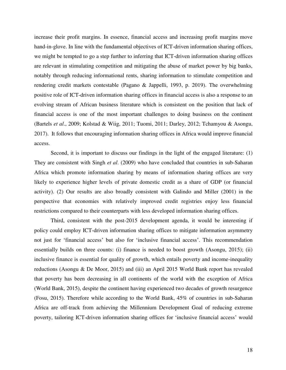increase their profit margins. In essence, financial access and increasing profit margins move hand-in-glove. In line with the fundamental objectives of ICT-driven information sharing offices, we might be tempted to go a step further to inferring that ICT-driven information sharing offices are relevant in stimulating competition and mitigating the abuse of market power by big banks, notably through reducing informational rents, sharing information to stimulate competition and rendering credit markets contestable (Pagano & Jappelli, 1993, p. 2019). The overwhelming positive role of ICT-driven information sharing offices in financial access is also a response to an evolving stream of African business literature which is consistent on the position that lack of financial access is one of the most important challenges to doing business on the continent (Bartels *et al*., 2009; Kolstad & Wiig, 2011; Tuomi, 2011; Darley, 2012; Tchamyou & Asongu, 2017). It follows that encouraging information sharing offices in Africa would improve financial access.

Second, it is important to discuss our findings in the light of the engaged literature: (1) They are consistent with Singh *et al*. (2009) who have concluded that countries in sub-Saharan Africa which promote information sharing by means of information sharing offices are very likely to experience higher levels of private domestic credit as a share of GDP (or financial activity). (2) Our results are also broadly consistent with Galindo and Miller (2001) in the perspective that economies with relatively improved credit registries enjoy less financial restrictions compared to their counterparts with less developed information sharing offices.

 Third, consistent with the post-2015 development agenda, it would be interesting if policy could employ ICT-driven information sharing offices to mitigate information asymmetry not just for 'financial access' but also for 'inclusive financial access'. This recommendation essentially builds on three counts: (i) finance is needed to boost growth (Asongu, 2015); (ii) inclusive finance is essential for quality of growth, which entails poverty and income-inequality reductions (Asongu & De Moor, 2015) and (iii) an April 2015 World Bank report has revealed that poverty has been decreasing in all continents of the world with the exception of Africa (World Bank, 2015), despite the continent having experienced two decades of growth resurgence (Fosu, 2015). Therefore while according to the World Bank, 45% of countries in sub-Saharan Africa are off-track from achieving the Millennium Development Goal of reducing extreme poverty, tailoring ICT-driven information sharing offices for 'inclusive financial access' would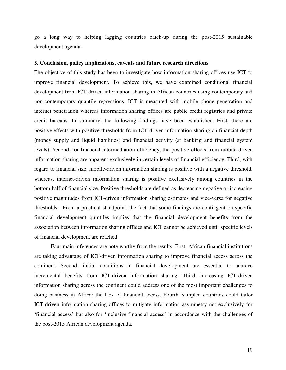go a long way to helping lagging countries catch-up during the post-2015 sustainable development agenda.

#### **5. Conclusion, policy implications, caveats and future research directions**

The objective of this study has been to investigate how information sharing offices use ICT to improve financial development. To achieve this, we have examined conditional financial development from ICT-driven information sharing in African countries using contemporary and non-contemporary quantile regressions. ICT is measured with mobile phone penetration and internet penetration whereas information sharing offices are public credit registries and private credit bureaus. In summary, the following findings have been established. First, there are positive effects with positive thresholds from ICT-driven information sharing on financial depth (money supply and liquid liabilities) and financial activity (at banking and financial system levels). Second, for financial intermediation efficiency, the positive effects from mobile-driven information sharing are apparent exclusively in certain levels of financial efficiency. Third, with regard to financial size, mobile-driven information sharing is positive with a negative threshold, whereas, internet-driven information sharing is positive exclusively among countries in the bottom half of financial size. Positive thresholds are defined as decreasing negative or increasing positive magnitudes from ICT-driven information sharing estimates and vice-versa for negative thresholds. From a practical standpoint, the fact that some findings are contingent on specific financial development quintiles implies that the financial development benefits from the association between information sharing offices and ICT cannot be achieved until specific levels of financial development are reached.

 Four main inferences are note worthy from the results. First, African financial institutions are taking advantage of ICT-driven information sharing to improve financial access across the continent. Second, initial conditions in financial development are essential to achieve incremental benefits from ICT-driven information sharing. Third, increasing ICT-driven information sharing across the continent could address one of the most important challenges to doing business in Africa: the lack of financial access. Fourth, sampled countries could tailor ICT-driven information sharing offices to mitigate information asymmetry not exclusively for 'financial access' but also for 'inclusive financial access' in accordance with the challenges of the post-2015 African development agenda.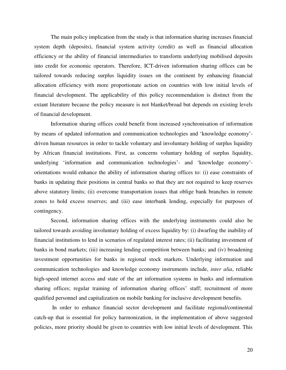The main policy implication from the study is that information sharing increases financial system depth (deposits), financial system activity (credit) as well as financial allocation efficiency or the ability of financial intermediaries to transform underlying mobilised deposits into credit for economic operators. Therefore, ICT-driven information sharing offices can be tailored towards reducing surplus liquidity issues on the continent by enhancing financial allocation efficiency with more proportionate action on countries with low initial levels of financial development. The applicability of this policy recommendation is distinct from the extant literature because the policy measure is not blanket/broad but depends on existing levels of financial development.

Information sharing offices could benefit from increased synchronisation of information by means of updated information and communication technologies and 'knowledge economy' driven human resources in order to tackle voluntary and involuntary holding of surplus liquidity by African financial institutions. First, as concerns voluntary holding of surplus liquidity, underlying 'information and communication technologies'- and 'knowledge economy' orientations would enhance the ability of information sharing offices to: (i) ease constraints of banks in updating their positions in central banks so that they are not required to keep reserves above statutory limits; (ii) overcome transportation issues that oblige bank branches in remote zones to hold excess reserves; and (iii) ease interbank lending, especially for purposes of contingency.

Second, information sharing offices with the underlying instruments could also be tailored towards avoiding involuntary holding of excess liquidity by: (i) dwarfing the inability of financial institutions to lend in scenarios of regulated interest rates; (ii) facilitating investment of banks in bond markets; (iii) increasing lending competition between banks; and (iv) broadening investment opportunities for banks in regional stock markets. Underlying information and communication technologies and knowledge economy instruments include, *inter alia*, reliable high-speed internet access and state of the art information systems in banks and information sharing offices; regular training of information sharing offices' staff; recruitment of more qualified personnel and capitalization on mobile banking for inclusive development benefits.

 In order to enhance financial sector development and facilitate regional/continental catch-up that is essential for policy harmonization, in the implementation of above suggested policies, more priority should be given to countries with low initial levels of development. This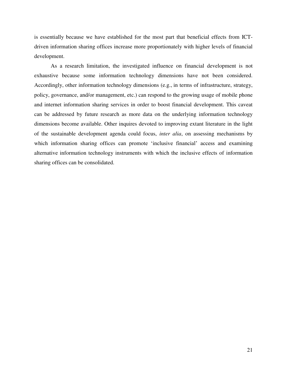is essentially because we have established for the most part that beneficial effects from ICTdriven information sharing offices increase more proportionately with higher levels of financial development.

 As a research limitation, the investigated influence on financial development is not exhaustive because some information technology dimensions have not been considered. Accordingly, other information technology dimensions (e.g., in terms of infrastructure, strategy, policy, governance, and/or management, etc.) can respond to the growing usage of mobile phone and internet information sharing services in order to boost financial development. This caveat can be addressed by future research as more data on the underlying information technology dimensions become available. Other inquires devoted to improving extant literature in the light of the sustainable development agenda could focus, *inter alia*, on assessing mechanisms by which information sharing offices can promote 'inclusive financial' access and examining alternative information technology instruments with which the inclusive effects of information sharing offices can be consolidated.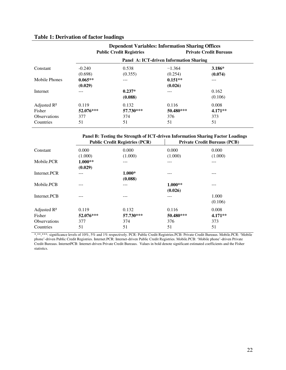### **Table 1: Derivation of factor loadings**

l,

|                         | <b>Dependent Variables: Information Sharing Offices</b> |                                 |                                         |                               |  |  |  |  |  |  |  |
|-------------------------|---------------------------------------------------------|---------------------------------|-----------------------------------------|-------------------------------|--|--|--|--|--|--|--|
|                         |                                                         | <b>Public Credit Registries</b> |                                         | <b>Private Credit Bureaus</b> |  |  |  |  |  |  |  |
|                         |                                                         |                                 | Panel A: ICT-driven Information Sharing |                               |  |  |  |  |  |  |  |
| Constant                | $-0.240$                                                | 0.538                           | $-1.364$                                | $3.186*$                      |  |  |  |  |  |  |  |
|                         | (0.698)                                                 | (0.355)                         | (0.254)                                 | (0.074)                       |  |  |  |  |  |  |  |
| Mobile Phones           | $0.065**$                                               |                                 | $0.151**$                               | ---                           |  |  |  |  |  |  |  |
|                         | (0.029)                                                 |                                 | (0.026)                                 |                               |  |  |  |  |  |  |  |
| Internet                | ---                                                     | $0.237*$                        | ---                                     | 0.162                         |  |  |  |  |  |  |  |
|                         |                                                         | (0.088)                         |                                         | (0.106)                       |  |  |  |  |  |  |  |
| Adjusted $\mathbb{R}^2$ | 0.119                                                   | 0.132                           | 0.116                                   | 0.008                         |  |  |  |  |  |  |  |
| Fisher                  | 52.076***                                               | 57.730***                       | 50.480***                               | $4.171**$                     |  |  |  |  |  |  |  |
| <b>Observations</b>     | 377                                                     | 374                             | 376                                     | 373                           |  |  |  |  |  |  |  |
| Countries               | 51                                                      | 51                              | 51                                      | 51                            |  |  |  |  |  |  |  |

**Panel B: Testing the Strength of ICT-driven Information Sharing Factor Loadings**

|                         |           | <b>Public Credit Registries (PCR)</b> | <b>Private Credit Bureaus (PCB)</b> |           |  |  |
|-------------------------|-----------|---------------------------------------|-------------------------------------|-----------|--|--|
| Constant                | 0.000     | 0.000                                 | 0.000                               | 0.000     |  |  |
|                         | (1.000)   | (1.000)                               | (1.000)                             | (1.000)   |  |  |
| Mobile.PCR              | $1.000**$ | ---                                   | ---                                 | ---       |  |  |
|                         | (0.029)   |                                       |                                     |           |  |  |
| Internet.PCR            | ---       | $1.000*$                              | ---                                 | ---       |  |  |
|                         |           | (0.088)                               |                                     |           |  |  |
| Mobile.PCB              | ---       |                                       | $1.000**$                           |           |  |  |
|                         |           |                                       | (0.026)                             |           |  |  |
| Internet.PCB            |           |                                       | ---                                 | 1.000     |  |  |
|                         |           |                                       |                                     | (0.106)   |  |  |
| Adjusted $\mathbb{R}^2$ | 0.119     | 0.132                                 | 0.116                               | 0.008     |  |  |
| Fisher                  | 52.076*** | 57.730***                             | 50.480***                           | $4.171**$ |  |  |
| <b>Observations</b>     | 377       | 374                                   | 376                                 | 373       |  |  |
| Countries               | 51        | 51                                    | 51                                  | 51        |  |  |

\*,\*\*,\*\*\*: significance levels of 10%, 5% and 1% respectively. PCR: Public Credit Registries.PCB: Private Credit Bureaus. Mobile.PCR: 'Mobile phone'-driven Public Credit Registries. Internet.PCR: Internet-driven Public Credit Registries. Mobile.PCB: 'Mobile phone'-driven Private Credit Bureaus. InternetPCB: Internet-driven Private Credit Bureaus. Values in bold denote significant estimated coefficients and the Fisher statistics.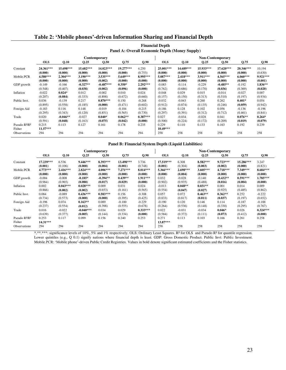## **Table 2: 'Mobile phones'-driven Information Sharing and Financial Depth**

#### **Financial Depth Panel A: Overall Economic Depth (Money Supply)**

|                                                 |                     |            |            | Contemporary |            |            | <b>Non-Contemporary</b> |            |            |            |            |            |
|-------------------------------------------------|---------------------|------------|------------|--------------|------------|------------|-------------------------|------------|------------|------------|------------|------------|
|                                                 | <b>OLS</b>          | Q.10       | Q.25       | Q.50         | Q.75       | O.90       | <b>OLS</b>              | Q.10       | Q.25       | Q.50       | Q.75       | Q.90       |
| Constant                                        | 24.361***           | 15.698***  | 15.682***  | 14.023***    | 19.277***  | 4.250      | 25.001***               | 14.689***  | 15.933***  | 17.620***  | 20.346***  | 10.194     |
|                                                 | (0.000)             | (0.000)    | (0.000)    | (0.000)      | (0.000)    | (0.753)    | (0.000)                 | (0.000)    | (0.000)    | (0.000)    | (0.000)    | (0.630)    |
| Mobile.PCR                                      | 4.580***            | $2.304***$ | $3.190***$ | $3.535***$   | $5.649***$ | 8.995***   | 5.087***                | $2.418***$ | $3.911***$ | $4.565***$ | $6.060***$ | $9.921***$ |
|                                                 | (0.000)             | (0.000)    | (0.000)    | (0.002)      | (0.000)    | (0.000)    | (0.000)                 | (0.000)    | (0.000)    | (0.000)    | (0.000)    | (0.001)    |
| GDP growth                                      | $-0.149$            | $-0.166$   | $-0.327**$ | $-0.487***$  | $0.350*$   | $2.292***$ | $-0.083$                | $-0.114$   | $-0.229$   | $-0.485**$ | $-0.192$   | $1.836**$  |
|                                                 | (0.548)             | (0.407)    | (0.038)    | (0.002)      | (0.096)    | (0.000)    | (0.762)                 | (0.686)    | (0.170)    | (0.036)    | (0.369)    | (0.020)    |
| Inflation                                       | $-0.022$            | $0.024*$   | 0.012      | $-0.002$     | 0.010      | 0.024      | $-0.048$                | 0.029      | 0.015      | $-0.014$   | $-0.027$   | 0.007      |
|                                                 | (0.207)             | (0.084)    | (0.333)    | (0.898)      | (0.672)    | (0.660)    | (0.157)                 | (0.150)    | (0.313)    | (0.510)    | (0.197)    | (0.934)    |
| Public Invt.                                    | 0.036               | $-0.139$   | 0.217      | $0.870***$   | 0.150      | $-0.268$   | $-0.032$                | $-0.043$   | 0.260      | 0.262      | $0.401*$   | 0.054      |
|                                                 | (0.895)             | (0.558)    | (0.185)    | (0.000)      | (0.471)    | (0.602)    | (0.912)                 | (0.874)    | (0.135)    | (0.246)    | (0.059)    | (0.942)    |
| Foreign Aid                                     | $-0.183$            | 0.116      | 0.148      | $-0.019$     | $-0.104$   | $-0.215$   | $-0.186$                | 0.128      | 0.102      | 0.056      | $-0.136$   | $-0.196$   |
|                                                 | (0.295)             | (0.343)    | (0.120)    | (0.851)      | (0.565)    | (0.730)    | (0.297)                 | (0.391)    | (0.312)    | (0.712)    | (0.461)    | (0.841)    |
| Trade                                           | 0.020               | $-0.046**$ | $-0.027$   | $0.040*$     | $0.062**$  | $0.387***$ | 0.027                   | $-0.034$   | $-0.028$   | 0.041      | $0.076**$  | $0.264*$   |
|                                                 | (0.591)             | (0.048)    | (0.163)    | (0.075)      | (0.042)    | (0.000)    | (0.500)                 | (0.224)    | (0.172)    | (0.209)    | (0.019)    | (0.079)    |
| Pseudo R <sup>2</sup> /R <sup>2</sup><br>Fisher | 0.215<br>$11.57***$ | 0.113      | 0.127      | 0.161        | 0.178      | 0.235      | 0.229<br>$10.49***$     | 0.110      | 0.133      | 0.163      | 0.192      | 0.239      |
| <b>Observations</b>                             | 294                 | 294        | 294        | 294          | 294        | 294        | 258                     | 258        | 258        | 258        | 258        | 258        |

#### **Panel B: Financial System Depth (Liquid Liabilities)**

|                                       | <b>Contemporary</b> |            |             |            |            |            |            | <b>Non-Contemporary</b> |            |            |            |            |  |
|---------------------------------------|---------------------|------------|-------------|------------|------------|------------|------------|-------------------------|------------|------------|------------|------------|--|
|                                       | <b>OLS</b>          | Q.10       | Q.25        | Q.50       | Q.75       | O.90       | <b>OLS</b> | Q.10                    | Q.25       | Q.50       | Q.75       | Q.90       |  |
| Constant                              | 17.239***           | 6.536      | $9.446***$  | 8.393***   | 13.498***  | 3.736      | 17.519***  | 6.308                   | 8.582***   | $9.723***$ | 15.286***  | 3.247      |  |
|                                       | (0.001)             | (0.106)    | (0.000)     | (0.004)    | (0.001)    | (0.748)    | (0.001)    | (0.304)                 | (0.003)    | (0.002)    | (0.000)    | (0.821)    |  |
| Mobile.PCR                            | $4.773***$          | $2.416***$ | $2.824***$  | 4.006***   | $7.271***$ | $8.014***$ | 5.366***   | $2.698***$              | $3.605***$ | $4.718***$ | 7.349***   | 8.684***   |  |
|                                       | (0.000)             | (0.000)    | (0.000)     | (0.000)    | (0.000)    | (0.000)    | (0.000)    | (0.004)                 | (0.000)    | (0.000)    | (0.000)    | (0.000)    |  |
| GDP growth                            | $-0.004$            | $-0.008$   | $-0.185*$   | $-0.394**$ | $0.439**$  | $1.911***$ | 0.032      | $-0.028$                | $-0.140$   | $-0.432**$ | $0.591***$ | 1.785***   |  |
|                                       | (0.984)             | (0.965)    | (0.080)     | (0.017)    | (0.029)    | (0.000)    | (0.902)    | (0.935)                 | (0.488)    | (0.016)    | (0.004)    | (0.000)    |  |
| Inflation                             | 0.002               | $0.043***$ | $0.028***$  | 0.009      | 0.031      | 0.024      | $-0.013$   | $0.048**$               | $0.031**$  | 0.001      | 0.014      | 0.009      |  |
|                                       | (0.866)             | (0.002)    | (0.002)     | (0.653)    | (0.161)    | (0.565)    | (0.554)    | (0.047)                 | (0.027)    | (0.925)    | (0.485)    | (0.862)    |  |
| Public Invt.                          | 0.084               | $-0.089$   | $0.436***$  | $0.583***$ | 0.156      | $-0.308$   | 0.057      | 0.072                   | $0.463**$  | $0.362**$  | 0.252      | $-0.222$   |  |
|                                       | (0.734)             | (0.573)    | (0.000)     | (0.000)    | (0.395)    | (0.425)    | (0.833)    | (0.817)                 | (0.011)    | (0.037)    | (0.197)    | (0.652)    |  |
| Foreign Aid                           | $-0.196$            | 0.074      | $0.163**$   | 0.089      | $-0.100$   | $-0.229$   | $-0.190$   | 0.120                   | 0.146      | 0.114      | $-0.187$   | $-0.188$   |  |
|                                       | (0.237)             | (0.554)    | (0.012)     | (0.398)    | (0.555)    | (0.678)    | (0.264)    | (0.536)                 | (0.148)    | (0.330)    | (0.295)    | (0.767)    |  |
| Trade                                 | 0.016               | $-0.022$   | $-0.040***$ | 0.034      | 0.029      | $0.333***$ | 0.022      | $-0.031$                | $-0.034$   | $0.046*$   | 0.026      | $0.324***$ |  |
|                                       | (0.639)             | (0.377)    | (0.005)     | (0.144)    | (0.334)    | (0.000)    | (0.584)    | (0.372)                 | (0.111)    | (0.073)    | (0.412)    | (0.000)    |  |
| Pseudo R <sup>2</sup> /R <sup>2</sup> | 0.253               | 0.117      | 0.099       | 0.156      | 0.240      | 0.253      | 0.271      | 0.113                   | 0.103      | 0.166      | 0.261      | 0.258      |  |
| Fisher                                | 14.31***            |            |             |            |            |            | $13.87***$ |                         |            |            |            |            |  |
| Observations                          | 294                 | 294        | 294         | 294        | 294        | 294        | 258        | 258                     | 258        | 258        | 258        | 258        |  |

\*,\*\*,\*\*\*: significance levels of 10%, 5% and 1% respectively. OLS: Ordinary Least Squares. R² for OLS and Pseudo R² for quantile regression. Lower quintiles (e.g., Q 0.1) signify nations where financial depth is least. GDP: Gross Domestic Product. Public Invt: Public Investment. Mobile.PCR: 'Mobile phone'-driven Public Credit Registries. Values in bold denote significant estimated coefficients and the Fisher statistics.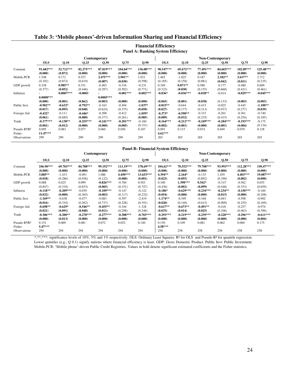## **Table 3: 'Mobile phones'-driven Information Sharing and Financial Efficiency**

|                                                 | Panel A: Banking System Efficiency |             |             |              |             |             |                    |             |             |                         |             |             |
|-------------------------------------------------|------------------------------------|-------------|-------------|--------------|-------------|-------------|--------------------|-------------|-------------|-------------------------|-------------|-------------|
|                                                 |                                    |             |             | Contemporary |             |             |                    |             |             | <b>Non-Contemporary</b> |             |             |
|                                                 | <b>OLS</b>                         | Q.10        | Q.25        | Q.50         | Q.75        | Q.90        | <b>OLS</b>         | Q.10        | Q.25        | Q.50                    | Q.75        | Q.90        |
| Constant                                        | 91.682***                          | 52.712***   | 82.275***   | 87.819***    | $104.04***$ | 136.08***   | 90.547***          | 69.672***   | 77.491***   | 84.603***               | 102.89***   | 125.48***   |
|                                                 | (0.000)                            | (0.872)     | (0.000)     | (0.000)      | (0.000)     | (0.000)     | (0.000)            | (0.000)     | (0.000)     | (0.000)                 | (0.000)     | (0.000)     |
| Mobile.PCR                                      | 1.548                              | 0.171       | 0.527       | $2.475***$   | $2.901**$   | 1.031       | 1.465              | $-1.825$    | 0.187       | $2.182**$               | $3.617**$   | 2.712       |
|                                                 | (0.102)                            | (0.872)     | (0.619)     | (0.007)      | (0.030)     | (0.598)     | (0.185)            | (0.158)     | (0.881)     | (0.042)                 | (0.011)     | (0.235)     |
| GDP growth                                      | 0.328                              | $0.985**$   | 0.331       | $-0.403$     | $-0.316$    | $-0.231$    | 0.349              | $0.871**$   | 0.580       | $-0.177$                | $-0.480$    | 0.609       |
|                                                 | (0.377)                            | (0.052)     | (0.446)     | (0.297)      | (0.592)     | (0.771)     | (0.323)            | (0.030)     | (0.155)     | (0.660)                 | (0.421)     | (0.461)     |
| Inflation                                       | $0.0008***$                        | $0.0007***$ | $-0.0003$   | $0.0005***$  | $-0.001***$ | $-0.002***$ | $-0.036*$          | $-0.036***$ | $-0.038**$  | $-0.014$                | $-0.029***$ | $-0.045***$ |
| Public Invt.                                    | (0.000)                            | (0.001)     | (0.862)     | (0.003)      | (0.000)     | (0.000)     | (0.065)            | (0.001)     | (0.038)     | (0.133)                 | (0.003)     | (0.003)     |
|                                                 | $-0.902**$                         | $-0.632*$   | $-0.792**$  | $-0.163$     | $-0.494$    | $-1.037*$   | $-0.815**$         | $-0.644$    | $-0.415$    | $-0.025$                | $-0.445$    | $-1.100**$  |
|                                                 | (0.017)                            | (0.095)     | (0.048)     | (0.624)      | (0.375)     | (0.050)     | (0.027)            | (0.177)     | (0.313)     | (0.937)                 | (0.277)     | (0.039)     |
| Foreign Aid                                     | $-0.432*$                          | $-0.111$    | $-0.446*$   | $-0.208$     | $-0.412$    | -1.059*     | $-0.373*$          | $-0.590**$  | $-0.333$    | $-0.201$                | $-0.361$    | $-0.740$    |
|                                                 | (0.061)                            | (0.685)     | (0.088)     | (0.377)      | (0.261)     | (0.085)     | (0.089)            | (0.032)     | (0.235)     | (0.415)                 | (0.254)     | (0.185)     |
| Trade                                           | $-0.177***$                        | $-0.138**$  | $-0.255***$ | $-0.241***$  | $-0.201***$ | $-0.160$    | $-0.164***$        | $-0.212***$ | $-0.249***$ | $-0.184***$             | $-0.193***$ | $-0.175$    |
|                                                 | (0.001)                            | (0.012)     | (0.000)     | (0.000)      | (0.005)     | (0.151)     | (0.002)            | (0.001)     | (0.000)     | (0.001)                 | (0.004)     | (0.134)     |
| Pseudo R <sup>2</sup> /R <sup>2</sup><br>Fisher | 0.095<br>$11.47***$                | 0.083       | 0.077       | 0.060        | 0.056       | 0.107       | 0.093<br>$4.62***$ | 0.115       | 0.074       | 0.049                   | 0.070       | 0.128       |
| Observations                                    | 299                                | 299         | 299         | 299          | 299         | 299         | 265                | 265         | 265         | 265                     | 265         | 265         |

## **Financial Efficiency Panel A: Banking System Efficiency**

#### **Panel B: Financial System Efficiency**

|                                                 | Contemporary       |             |             |             |             | <b>Non-Contemporary</b> |                    |             |             |             |             |             |
|-------------------------------------------------|--------------------|-------------|-------------|-------------|-------------|-------------------------|--------------------|-------------|-------------|-------------|-------------|-------------|
|                                                 | <b>OLS</b>         | Q.10        | Q.25        | Q.50        | Q.75        | Q.90                    | <b>OLS</b>         | Q.10        | Q.25        | Q.50        | Q.75        | Q.90        |
| Constant                                        | 106.90***          | 69.703***   | 84.788***   | 99.192***   | 113.19***   | 178.69***               | $104.62***$        | 70.552***   | 79.708***   | 93.993***   | 112.28***   | 150.47***   |
|                                                 | (0.000)            | (0.000)     | (0.000)     | (0.000)     | (0.000)     | (0.000)                 | (0.000)            | (0.000)     | (0.000)     | (0.000)     | (0.000)     | (0.000)     |
| Mobile.PCR                                      | $3.885**$          | $-1.433$    | $-0.091$    | 1.086       | $4.450***$  | 13.653***               | 4.394**            | $-2.164*$   | $-0.135$    | 1.459       | $4.403***$  | 19.087***   |
|                                                 | (0.018)            | (0.286)     | (0.936)     | (0.122)     | (0.000)     | (0.001)                 | (0.023)            | (0.055)     | (0.892)     | (0.190)     | (0.002)     | (0.000)     |
| GDP growth                                      | 0.088              | 0.625       | 0.099       | $-0.826***$ | $-0.784$    | 0.503                   | 0.340              | 1.398***    | $0.542*$    | $-0.315$    | $-0.562$    | 0.655       |
|                                                 | (0.847)            | (0.310)     | (0.833)     | (0.005)     | (0.151)     | (0.747)                 | (0.436)            | (0.002)     | (0.099)     | (0.448)     | (0.333)     | (0.659)     |
| Inflation                                       | $-0.118**$         | $-0.209***$ | $-0.039$    | $-0.109***$ | $-0.147$    | $-0.122$                | $-0.186*$          | $-0.629***$ | $-0.234***$ | $-0.234**$  | $-0.150***$ | $-0.160$    |
|                                                 | (0.032)            | (0.000)     | (0.365)     | (0.003)     | (0.117)     | (0.232)                 | (0.054)            | (0.000)     | (0.000)     | (0.015)     | (0.000)     | (0.208)     |
| Public Invt.                                    | $-1.169**$         | $-0.638$    | $-0.477$    | $-0.083$    | $-0.597$    | $-2.419$                | $-1.174**$         | $-0.549$    | $-0.168$    | $-0.043$    | $-0.598$    | $-0.902$    |
|                                                 | (0.016)            | (0.310)     | (0.262)     | (0.737)     | (0.228)     | (0.191)                 | (0.020)            | (0.140)     | (0.615)     | (0.909)     | (0.255)     | (0.169)     |
| Foreign Aid                                     | $-0.698**$         | $-0.629*$   | $-0.546**$  | $-0.455**$  | $-0.344$    | $-1.328$                | $-0.617**$         | $-0.673**$  | $-0.491**$  | $-0.418$    | $-0.257$    | $-0.974$    |
|                                                 | (0.021)            | (0.091)     | (0.048)     | (0.011)     | (0.298)     | (0.246)                 | (0.033)            | (0.014)     | (0.025)     | (0.106)     | (0.463)     | (0.396)     |
| Trade                                           | $-0.306***$        | $-0.200**$  | $-0.278***$ | $-0.277***$ | $-0.308***$ | $-0.703***$             | $-0.293***$        | $-0.219***$ | $-0.239***$ | $-0.228***$ | $-0.296***$ | $-0.611***$ |
|                                                 | (0.000)            | (0.013)     | (0.000)     | (0.000)     | (0.000)     | (0.000)                 | (0.000)            | (0.000)     | (0.000)     | (0.000)     | (0.000)     | (0.004)     |
| Pseudo R <sup>2</sup> /R <sup>2</sup><br>Fisher | 0.151<br>$5.47***$ | 0.069       | 0.081       | 0.072       | 0.052       | 0.140                   | 0.150<br>$4.58***$ | 0.109       | 0.081       | 0.062       | 0.060       | 0.175       |
| Observations                                    | 294                | 294         | 294         | 294         | 294         | 294                     | 258                | 258         | 258         | 258         | 258         | 258         |

\*,\*\*\*\*: significance levels of 10%, 5% and 1% respectively. OLS: Ordinary Least Squares. R<sup>2</sup> for OLS and Pseudo R<sup>2</sup> for quantile regression. Lower quintiles (e.g., Q 0.1) signify nations where financial efficiency is least. GDP: Gross Domestic Product. Public Invt: Public Investment. Mobile.PCR: 'Mobile phone'-driven Public Credit Registries. Values in bold denote significant estimated coefficients and the Fisher statistics.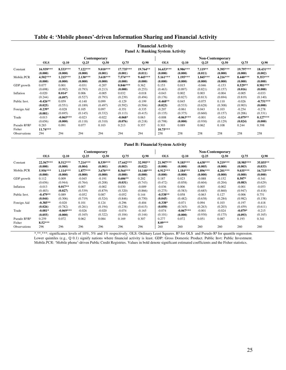## **Table 4: 'Mobile phones'-driven Information Sharing and Financial Activity**

|                                       | <b>Panel A: Banking System Activity</b> |                       |                       |                       |                      |                     |                        |                     |                      |                         |                      |                      |  |
|---------------------------------------|-----------------------------------------|-----------------------|-----------------------|-----------------------|----------------------|---------------------|------------------------|---------------------|----------------------|-------------------------|----------------------|----------------------|--|
|                                       |                                         |                       |                       | Contemporary          |                      |                     |                        |                     |                      | <b>Non-Contemporary</b> |                      |                      |  |
|                                       | <b>OLS</b>                              | Q.10                  | Q.25                  | Q.50                  | Q.75                 | Q.90                | <b>OLS</b>             | Q.10                | Q.25                 | Q.50                    | Q.75                 | Q.90                 |  |
| Constant                              | 16.939***<br>(0.000)                    | $8.533***$<br>(0.000) | $7.122***$<br>(0.000) | $9.010***$<br>(0.001) | 17.735***<br>(0.001) | 19.764**<br>(0.011) | $16.653***$<br>(0.000) | 8.986***<br>(0.000) | $7.119**$<br>(0.011) | 9.395***<br>(0.000)     | 19.797***<br>(0.000) | 18.431***<br>(0.002) |  |
| Mobile.PCR                            | 4.502***                                | $1.215***$            | $2.130***$            | $3.618***$            | $7.574***$           | $9.445***$          | $5.161***$             | 1.195***            | $1.845***$           | $4.216***$              | 8.440***             | $9.353***$           |  |
|                                       | (0.000)                                 | (0.000)               | (0.000)               | (0.000)               | (0.000)              | (0.000)             | (0.000)                | (0.000)             | (0.000)              | (0.000)                 | (0.000)              | (0.000)              |  |
| GDP growth                            | 0.077                                   | 0.001                 | $-0.031$              | $-0.207$              | $0.846***$           | 0.362               | 0.153                  | 0.015               | $-0.046$             | $-0.153$                | $0.529**$            | $0.981***$           |  |
|                                       | (0.698)                                 | (0.992)               | (0.793)               | (0.213)               | (0.000)              | (0.253)             | (0.463)                | (0.897)             | (0.821)              | (0.157)                 | (0.016)              | (0.000)              |  |
| Inflation                             | $-0.020$                                | $0.014*$              | 0.006                 | $-0.005$              | 0.032                | $-0.018$            | $-0.043$               | 0.002               | 0.003                | $-0.004$                | $-0.005$             | $-0.033$             |  |
|                                       | (0.244)                                 | (0.097)               | (0.527)               | (0.793)               | (0.239)              | (0.494)             | (0.176)                | (0.827)             | (0.813)              | (0.694)                 | (0.819)              | (0.140)              |  |
| Public Invt.                          | $-0.426**$                              | 0.059                 | $-0.140$              | 0.099                 | $-0.129$             | $-0.199$            | $-0.468**$             | 0.045               | $-0.075$             | 0.110                   | $-0.026$             | $-0.751***$          |  |
|                                       | (0.025)                                 | (0.551)               | (0.189)               | (0.497)               | (0.592)              | (0.504)             | (0.023)                | (0.533)             | (0.628)              | (0.308)                 | (0.903)              | (0.000)              |  |
| Foreign Aid                           | $-0.239*$                               | $-0.028$              | 0.105                 | 0.097                 | $-0.351$             | $-0.335$            | $-0.207$               | $-0.061$            | 0.043                | 0.103                   | $-0.254$             | $-0.278$             |  |
|                                       | (0.081)                                 | (0.695)               | (0.145)               | (0.332)               | (0.113)              | (0.415)             | (0.135)                | (0.375)             | (0.660)              | (0.157)                 | (0.206)              | (0.331)              |  |
| Trade                                 | $-0.013$                                | $-0.065***$           | $-0.023$              | $-0.022$              | $-0.068*$            | 0.063               | $-0.008$               | $-0.063***$         | $-0.001$             | $-0.024$                | $-0.079**$           | $0.127***$           |  |
|                                       | (0.656)                                 | (0.000)               | (0.118)               | (0.310)               | (0.076)              | (0.218)             | (0.798)                | (0.000)             | (0.930)              | (0.129)                 | (0.024)              | (0.000)              |  |
| Pseudo R <sup>2</sup> /R <sup>2</sup> | 0.283                                   | 0.091                 | 0.077                 | 0.103                 | 0.213                | 0.357               | 0.303                  | 0.089               | 0.062                | 0.108                   | 0.244                | 0.398                |  |
| Fisher                                | $11.74***$                              |                       |                       |                       |                      |                     | $10.75***$             |                     |                      |                         |                      |                      |  |
| Observations                          | 294                                     | 294                   | 294                   | 294                   | 294                  | 294                 | 258                    | 258                 | 258                  | 258                     | 258                  | 258                  |  |

## **Financial Activity**

#### **Panel B: Financial System Activity**

|                                                 | Contemporary       |             |            |            |             |           |                    | <b>Non-Contemporary</b> |            |            |            |             |
|-------------------------------------------------|--------------------|-------------|------------|------------|-------------|-----------|--------------------|-------------------------|------------|------------|------------|-------------|
|                                                 | <b>OLS</b>         | Q.10        | Q.25       | Q.50       | Q.75        | Q.90      | <b>OLS</b>         | Q.10                    | Q.25       | Q.50       | Q.75       | Q.90        |
| Constant                                        | 22.567***          | $8.512***$  | $7.214***$ | 8.539***   | $17.642***$ | 32.995**  | 21.907***          | $9.185***$              | $6.638***$ | $9.219***$ | 18.985***  | 35.855**    |
|                                                 | (0.000)            | (0.000)     | (0.004)    | (0.001)    | (0.003)     | (0.022)   | (0.000)            | (0.000)                 | (0.005)    | (0.000)    | (0.003)    | (0.033)     |
| Mobile.PCR                                      | 5.956***           | $1.114***$  | $1.877***$ | $3.670***$ | $8.564***$  | 14.140*** | $6.912***$         | $1.184***$              | 1.896***   | $4.201***$ | $9.035***$ | $16.733***$ |
|                                                 | (0.000)            | (0.000)     | (0.000)    | (0.000)    | (0.000)     | (0.000)   | (0.000)            | (0.000)                 | (0.000)    | (0.000)    | (0.000)    | (0.000)     |
| GDP growth                                      | 0.112              | 0.009       | $-0.045$   | $-0.191$   | $0.606**$   | 0.202     | 0.187              | 0.023                   | $-0.088$   | $-0.152$   | $0.507*$   | $-0.341$    |
|                                                 | (0.656)            | (0.944)     | (0.764)    | (0.208)    | (0.031)     | (0.743)   | (0.472)            | (0.858)                 | (0.604)    | (0.204)    | (0.083)    | (0.629)     |
| Inflation                                       | $-0.013$           | $0.017**$   | 0.007      | $-0.002$   | 0.030       | $-0.009$  | $-0.036$           | 0.006                   | 0.005      | $-0.002$   | $-0.001$   | $-0.053$    |
|                                                 | (0.483)            | (0.027)     | (0.539)    | (0.879)    | (0.320)     | (0.866)   | (0.275)            | (0.583)                 | (0.685)    | (0.860)    | (0.947)    | (0.418)     |
| Public Invt.                                    | $-0.479**$         | 0.089       | $-0.052$   | 0.087      | $-0.052$    | 0.144     | $-0.538**$         | 0.058                   | $-0.063$   | 0.127      | $-0.006$   | 0.751       |
|                                                 | (0.044)            | (0.306)     | (0.719)    | (0.524)    | (0.846)     | (0.750)   | (0.045)            | (0.482)                 | (0.638)    | (0.284)    | (0.982)    | (0.158)     |
| Foreign Aid                                     | $-0.385**$         | $-0.020$    | 0.101      | 0.124      | $-0.296$    | $-0.404$  | $-0.338*$          | $-0.071$                | 0.094      | 0.103      | $-0.197$   | $-0.418$    |
|                                                 | (0.026)            | (0.782)     | (0.261)    | (0.194)    | (0.238)     | (0.615)   | (0.050)            | (0.345)                 | (0.263)    | (0.203)    | (0.459)    | (0.611)     |
| Trade                                           | $-0.081*$          | $-0.069***$ | $-0.026$   | $-0.020$   | $-0.074$    | $-0.165$  | $-0.074$           | $-0.067***$             | $-0.001$   | $-0.024$   | $-0.079*$  | $-0.215$    |
|                                                 | (0.055)            | (0.000)     | (0.165)    | (0.322)    | (0.104)     | (0.144)   | (0.101)            | (0.000)                 | (0.930)    | (0.175)    | (0.093)    | (0.165)     |
| Pseudo R <sup>2</sup> /R <sup>2</sup><br>Fisher | 0.259<br>$8.52***$ | 0.072       | 0.062      | 0.084      | 0.169       | 0.307     | 0.277<br>$8.09***$ | 0.072                   | 0.051      | 0.087      | 0.193      | 0.341       |
| Observations                                    | 296                | 296         | 296        | 296        | 296         | 296       | 260                | 260                     | 260        | 260        | 260        | 260         |

\*,\*\*,\*\*\*: significance levels of 10%, 5% and 1% respectively. OLS: Ordinary Least Squares. R² for OLS and Pseudo R² for quantile regression. Lower quintiles (e.g., Q 0.1) signify nations where financial activity is least. GDP: Gross Domestic Product. Public Invt: Public Investment. Mobile.PCR: 'Mobile phone'-driven Public Credit Registries. Values in bold denote significant estimated coefficients and the Fisher statistics.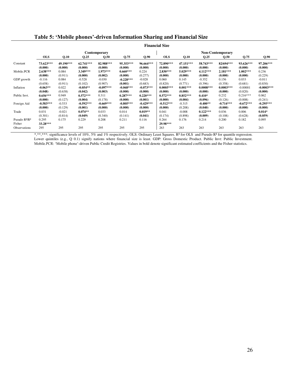|                                       | <b>Financial Size</b> |           |             |              |             |             |             |            |             |                         |             |              |
|---------------------------------------|-----------------------|-----------|-------------|--------------|-------------|-------------|-------------|------------|-------------|-------------------------|-------------|--------------|
|                                       |                       |           |             | Contemporary |             |             |             |            |             | <b>Non-Contemporary</b> |             |              |
|                                       | <b>OLS</b>            | Q.10      | Q.25        | Q.50         | Q.75        | Q.90        | <b>OLS</b>  | Q.10       | Q.25        | Q.50                    | Q.75        | Q.90         |
| Constant                              | 73.623***             | 49.190*** | 62.741***   | 82.988***    | 95.353***   | 96.664***   | 72.890***   | 47.151***  | 58.743***   | 82/694***               | 93.626***   | 97.206***    |
|                                       | (0.000)               | (0.000)   | (0.000)     | (0.000)      | (0.000)     | (0.000)     | (0.000)     | (0.000)    | (0.000)     | (0.000)                 | (0.000)     | (0.000)      |
| Mobile.PCR                            | $2.638***$            | 0.084     | $3.349***$  | $1.973***$   | $0.660***$  | 0.224       | $2.830***$  | $5.029***$ | $4.112***$  | $2.181***$              | $1.002***$  | 0.236        |
|                                       | (0.000)               | (0.911)   | (0.000)     | (0.002)      | (0.000)     | (0.277)     | (0.000)     | (0.000)    | (0.000)     | (0.000)                 | (0.000)     | (0.229)      |
| GDP growth                            | $-0.116$              | 0.084     | $-0.528$    | $-0.030$     | $-0.228***$ | $-0.028$    | 0.060       | 0.145      | $-0.352$    | 0.156                   | 0.033       | $-0.011$     |
|                                       | (0.658)               | (0.911)   | (0.102)     | (0.907)      | (0.001)     | (0.683)     | (0.820)     | (0.771)    | (0.396)     | (0.358)                 | (0.681)     | (0.830)      |
| Inflation                             | $-0.063**$            | 0.022     | $-0.054**$  | $-0.097***$  | $-0.068***$ | $-0.073***$ | $0.0005***$ | $0.001***$ | $0.0008***$ | $0.0003***$             | $-0.00001$  | $-0.0003***$ |
|                                       | (0.048)               | (0.638)   | (0.042)     | (0.003)      | (0.000)     | (0.000)     | (0.000)     | (0.000)    | (0.000)     | (0.000)                 | (0.820)     | (0.000)      |
| Public Invt.                          | $0.656***$            | 0.949     | $0.572***$  | 0.311        | $0.287***$  | $0.220***$  | $0.572***$  | $0.852***$ | $0.410*$    | 0.232                   | $0.216***$  | 0.062        |
|                                       | (0.000)               | (0.127)   | (0.004)     | (0.178)      | (0.000)     | (0.001)     | (0.000)     | (0.004)    | (0.096)     | (0.126)                 | (0.008)     | (0.241)      |
| Foreign Aid                           | $-0.583***$           | $-0.533$  | $-0.592***$ | $-0.669***$  | $-0.805***$ | $-0.429***$ | $-0.512***$ | $-0.315$   | $-0.400**$  | $-0.714***$             | $-0.672***$ | $-0.295***$  |
|                                       | (0.000)               | (0.129)   | (0.001)     | (0.000)      | (0.000)     | (0.000)     | (0.000)     | (0.208)    | (0.040)     | (0.000)                 | (0.000)     | (0.000)      |
| Trade                                 | 0.031                 | $-0.021$  | $0.074**$   | 0.033        | 0.014       | $0.019**$   | 0.041       | $-0.008$   | $0.122***$  | 0.036                   | 0.006       | $0.014*$     |
|                                       | (0.301)               | (0.814)   | (0.049)     | (0.340)      | (0.141)     | (0.041)     | (0.174)     | (0.898)    | (0.009)     | (0.108)                 | (0.628)     | (0.059)      |
| Pseudo R <sup>2</sup> /R <sup>2</sup> | 0.295                 | 0.175     | 0.229       | 0.208        | 0.211       | 0.116       | 0.264       | 0.176      | 0.214       | 0.200                   | 0.182       | 0.095        |
| Fisher                                | 33.28***              |           |             |              |             |             | 29.98***    |            |             |                         |             |              |
| Observations                          | 295                   | 295       | 295         | 295          | 295         | 295         | 263         | 263        | 263         | 263                     | 263         | 263          |
|                                       |                       |           |             |              |             |             |             |            |             |                         |             |              |

## **Table 5: 'Mobile phones'-driven Information Sharing and Financial Size**

\*,\*\*,\*\*\*: significance levels of 10%, 5% and 1% respectively. OLS: Ordinary Least Squares. R² for OLS and Pseudo R² for quantile regression. Lower quintiles (e.g., Q 0.1) signify nations where financial size is least. GDP: Gross Domestic Product. Public Invt: Public Investment. Mobile.PCR: 'Mobile phone'-driven Public Credit Registries. Values in bold denote significant estimated coefficients and the Fisher statistics.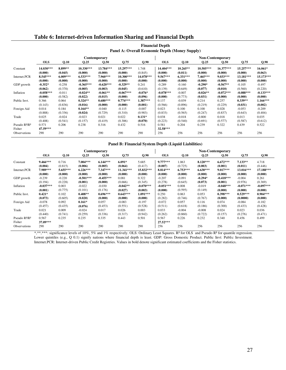## **Table 6: Internet-driven Information Sharing and Financial Depth**

#### **Financial Depth Panel A: Overall Economic Depth (Money Supply)**

|                                                 | Contemporary      |            |             |             |             |            | <b>Non-Contemporary</b> |            |            |             |             |             |
|-------------------------------------------------|-------------------|------------|-------------|-------------|-------------|------------|-------------------------|------------|------------|-------------|-------------|-------------|
|                                                 | <b>OLS</b>        | Q.10       | Q.25        | Q.50        | Q.75        | Q.90       | <b>OLS</b>              | Q.10       | Q.25       | Q.50        | Q.75        | Q.90        |
| Constant                                        | 14.030***         | 8.899**    | $10.330***$ | 13.784***   | 15.297***   | 1.748      | 14.404***               | $10.265**$ | 10.505***  | $16.377***$ | $15.257***$ | 16.061*     |
|                                                 | (0.000)           | (0.045)    | (0.000)     | (0.000)     | (0.000)     | (0.845)    | (0.000)                 | (0.011)    | (0.000)    | (0.000)     | (0.000)     | (0.063)     |
| Internet.PCR                                    | 8.545***          | $6.009***$ | $6.533***$  | 7.960***    | 10.300***   | 14.078***  | $9.567***$              | $6.331***$ | $7.465***$ | $9.033***$  | 13.181***   | 15.173***   |
|                                                 | (0.000)           | (0.000)    | (0.000)     | (0.000)     | (0.000)     | (0.000)    | (0.000)                 | (0.000)    | (0.000)    | (0.000)     | (0.000)     | (0.000)     |
| GDP growth                                      | $-0.352*$         | $-0.258$   | $-0.365***$ | $-0.620***$ | $-0.329**$  | 0.241      | $-0.289$                | $-0.160$   | $-0.290*$  | $-0.567**$  | $-0.105$    | $-0.497$    |
|                                                 | (0.062)           | (0.370)    | (0.005)     | (0.003)     | (0.045)     | (0.610)    | (0.139)                 | (0.649)    | (0.077)    | (0.010)     | (0.560)     | (0.220)     |
| Inflation                                       | $-0.058***$       | $-0.011$   | $-0.024**$  | $-0.061**$  | $-0.067***$ | $-0.076*$  | $-0.078***$             | $-0.007$   | $-0.026**$ | $-0.072***$ | $-0.088***$ | $-0.133***$ |
|                                                 | (0.000)           | (0.582)    | (0.022)     | (0.015)     | (0.000)     | (0.096)    | (0.000)                 | (0.773)    | (0.031)    | (0.000)     | (0.000)     | (0.000)     |
| Public Invt.                                    | 0.366             | 0.064      | $0.324**$   | $0.680***$  | $0.774***$  | $1.387***$ | 0.137                   | $-0.039$   | 0.214      | 0.257       | $0.339**$   | $1.166***$  |
|                                                 | (0.143)           | (0.836)    | (0.016)     | (0.000)     | (0.000)     | (0.001)    | (0.566)                 | (0.896)    | (0.219)    | (0.229)     | (0.031)     | (0.002)     |
| Foreign Aid                                     | 0.014             | 0.184      | $0.164**$   | $-0.040$    | $-0.115$    | $-0.007$   | 0.023                   | 0.100      | 0.100      | 0.028       | $-0.053$    | $-0.209$    |
|                                                 | (0.888)           | (0.336)    | (0.024)     | (0.729)     | (0.310)     | (0.983)    | (0.833)                 | (0.565)    | (0.247)    | (0.837)     | (0.643)     | (0.404)     |
| Trade                                           | 0.025             | $-0.024$   | $-0.023$    | 0.021       | 0.022       | $0.131*$   | 0.038                   | $-0.018$   | $-0.800$   | 0.018       | 0.013       | 0.035       |
|                                                 | (0.408)           | (0.541)    | (0.157)     | (0.419)     | (0.306)     | (0.070)    | (0.223)                 | (0.540)    | (0.691)    | (0.577)     | (0.587)     | (0.612)     |
| Pseudo R <sup>2</sup> /R <sup>2</sup><br>Fisher | 0.571<br>47.59*** | 0.206      | 0.238       | 0.316       | 0.432       | 0.516      | 0.581<br>32.58***       | 0.204      | 0.239      | 0.322       | 0.439       | 0.522       |
| <b>Observations</b>                             | 290               | 290        | 290         | 290         | 290         | 290        | 256                     | 256        | 256        | 256         | 256         | 256         |

#### **Panel B: Financial System Depth (Liquid Liabilities)**

|                                       | <b>Contemporary</b> |          |             |             |            |             |             | <b>Non-Contemporary</b> |            |             |             |             |
|---------------------------------------|---------------------|----------|-------------|-------------|------------|-------------|-------------|-------------------------|------------|-------------|-------------|-------------|
|                                       | <b>OLS</b>          | O.10     | Q.25        | Q.50        | Q.75       | O.90        | <b>OLS</b>  | Q.10                    | 0.25       | Q.50        | Q.75        | Q.90        |
| Constant                              | $9.466***$          | 0.716    | $7.004***$  | $6.144***$  | $6.091*$   | 5.685       | $9.777***$  | 1.063                   | $8.120***$ | $6.672***$  | $7.133**$   | 4.718       |
|                                       | (0.004)             | (0.815)  | (0.006)     | (0.005)     | (0.064)    | (0.417)     | (0.007)     | (0.725)                 | (0.003)    | (0.001)     | (0.011)     | (0.446)     |
| Internet.PCR                          | 7.989***            | 5.655*** | $6.226***$  | $7.347***$  | 11.341***  | 15.832***   | 8.814***    | $6.753***$              | $6.630***$ | $9.017***$  | 13.016***   | 17.188***   |
|                                       | (0.000)             | (0.000)  | (0.000)     | (0.000)     | (0.000)    | (0.000)     | (0.000)     | (0.000)                 | (0.000)    | (0.000)     | (0.000)     | (0.000)     |
| GDP growth                            | $-0.239$            | $-0.220$ | $-0.501***$ | $-0.455***$ | 0.081      | 0.322       | $-0.207$    | $-0.091$                | $-0.294*$  | $-0.418***$ | $-0.004$    | 0.261       |
|                                       | (0.194)             | (0.228)  | (0.001)     | (0.000)     | (0.666)    | (0.345)     | (0.278)     | (0.645)                 | (0.073)    | (0.001)     | (0.976)     | (0.369)     |
| Inflation                             | $-0.037***$         | 0.003    | $-0.022$    | $-0.030$    | $-0.042**$ | $-0.070***$ | $-0.051***$ | 0.008                   | $-0.019$   | $-0.048***$ | $-0.071***$ | $-0.097***$ |
|                                       | (0.001)             | (0.775)  | (0.101)     | (0.176)     | (0.027)    | (0.003)     | (0.000)     | (0.595)                 | (0.149)    | (0.000)     | (0.000)     | (0.000)     |
| Public Invt.                          | $0.421*$            | 0.102    | $0.408**$   | $0.696***$  | $0.643***$ | $1.091***$  | 0.250       | 0.063                   | 0.053      | $0.398***$  | $0.529***$  | $0.904***$  |
|                                       | (0.073)             | (0.605)  | (0.020)     | (0.000)     | (0.000)    | (0.000)     | (0.282)     | (0.746)                 | (0.767)    | (0.000)     | (0.0000)    | (0.000)     |
| Foreign Aid                           | $-0.078$            | 0.092    | $0.161*$    | 0.057       | $-0.083$   | $-0.197$    | $-0.072$    | 0.057                   | 0.116      | 0.074       | $-0.084$    | $-0.182$    |
|                                       | (0.457)             | (0.435)  | (0.076)     | (0.453)     | (0.551)    | (0.528)     | (0.511)     | (0.618)                 | (0.186)    | (0.300)     | (0.433)     | (0.428)     |
| Trade                                 | 0.021               | 0.009    | $-0.024$    | 0.017       | 0.026      | 0.003       | 0.033       | $-0.004$                | $-0.008$   | 0.024       | 0.023       | 0.036       |
|                                       | (0.440)             | (0.741)  | (0.259)     | (0.336)     | (0.317)    | (0.942)     | (0.262)     | (0.860)                 | (0.722)    | (0.157)     | (0.276)     | (0.471)     |
| Pseudo R <sup>2</sup> /R <sup>2</sup> | 0.567               | 0.235    | 0.235       | 0.335       | 0.443      | 0.501       | 0.567       | 0.226                   | 0.232      | 0.340       | 0.456       | 0.499       |
| Fisher                                | $37.09***$          |          |             |             |            |             | 27.52***    |                         |            |             |             |             |
| Observations                          | 290                 | 290      | 290         | 290         | 290        | 290         | 256         | 256                     | 256        | 256         | 256         | 256         |

\*,\*\*,\*\*\*: significance levels of 10%, 5% and 1% respectively. OLS: Ordinary Least Squares. R² for OLS and Pseudo R² for quantile regression. Lower quintiles (e.g., Q 0.1) signify nations where financial depth is least. GDP: Gross Domestic Product. Public Invt: Public Investment. Internet.PCR: Internet-driven Public Credit Registries. Values in bold denote significant estimated coefficients and the Fisher statistics.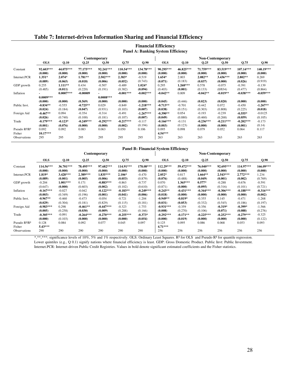## **Table 7: Internet-driven Information Sharing and Financial Efficiency**

|                            | <b>Panel A: Banking System Efficiency</b> |                             |                                |                                |                                |                                   |                                  |                             |                                |                             |                                |                                 |  |
|----------------------------|-------------------------------------------|-----------------------------|--------------------------------|--------------------------------|--------------------------------|-----------------------------------|----------------------------------|-----------------------------|--------------------------------|-----------------------------|--------------------------------|---------------------------------|--|
|                            | Contemporary                              |                             |                                |                                |                                |                                   |                                  |                             |                                | <b>Non-Contemporary</b>     |                                |                                 |  |
|                            | <b>OLS</b>                                | Q.10                        | Q.25                           | Q.50                           | Q.75                           | Q.90                              | <b>OLS</b>                       | Q.10                        | Q.25                           | Q.50                        | Q.75                           | Q.90                            |  |
| Constant                   | 92.603***<br>(0.000)                      | 44.075***<br>(0.000)        | 77.175***<br>(0.000)           | 92.241***<br>(0.000)           | $110.54***$<br>(0.000)         | 134.78***<br>(0.000)              | 90.295***<br>(0.000)             | 46.825***<br>(0.000)        | 71.759***<br>(0.000)           | 83.519***<br>(0.000)        | $107.14***$<br>(0.000)         | 140.19***<br>(0.000)            |  |
| Internet.PCR               | $1.351*$<br>(0.089)                       | $2.074*$<br>(0.065)         | $1.781**$<br>(0.018)           | $2.502***$<br>(0.006)          | $2.383*$<br>(0.052)            | $-0.519$<br>(0.743)               | $1.654*$<br>(0.071)              | 2.003<br>(0.183)            | $2.082**$<br>(0.037)           | 3.436***<br>(0.000)         | $2.802**$<br>(0.026)           | 0.269<br>(0.919)                |  |
| GDP growth                 | 0.255<br>(0.485)                          | $1.111**$<br>(0.011)        | 0.434<br>(0.220)               | $-0.507$<br>(0.191)            | $-0.489$<br>(0.382)            | $1.024*$<br>(0.094)               | 0.295<br>(0.403)                 | $1.268***$<br>(0.001)       | 0.578<br>(0.133)               | $-0.075$<br>(0/834)         | $-0.391$<br>(0.477)            | $-0.139$<br>(0.864)             |  |
| Inflation                  | $0.0009***$                               | $0.0007***$                 | $-0.00009$                     | $0.0008***$                    | $-0.001***$                    | $-0.002***$                       | $-0.042**$                       | 0.009                       | $-0.042**$                     | $-0.019**$                  | $-0.038***$                    | $-0.059***$                     |  |
| Public Invt.               | (0.000)<br>$-0.834**$                     | (0.000)<br>$-0.555$         | (0.569)<br>$-0.725**$          | (0.000)<br>0.029               | (0.000)<br>$-0.849$<br>(0.103) | (0.000)<br>$-1.218***$            | (0.045)<br>$-0.713**$            | (0.446)<br>$-0.701$         | (0.023)<br>$-0.442$<br>(0.303) | (0.020)<br>0.072<br>(0.808) | (0.000)<br>$-0.450$<br>(0.225) | (0.000)<br>$-1.267**$           |  |
| Foreign Aid                | (0.024)<br>$-0.467**$<br>(0.026)          | (0.184)<br>0.094<br>(0.740) | (0.047)<br>$-0.354$<br>(0.100) | (0.931)<br>$-0.314$<br>(0.181) | $-0.491$<br>(0.107)            | (0.007)<br>$-1.267***$<br>(0.007) | (0.038)<br>$-0.390**$<br>(0.049) | (0.151)<br>0.054<br>(0.880) | $-0.193$<br>(0.460)            | $-0.239$<br>(0.268)         | $-0.555*$<br>(0.059)           | (0.018)<br>$-0.0125$<br>(0.105) |  |
| Trade                      | $-0.179***$<br>(0.001)                    | $-0.123*$<br>(0.076)        | $-0.249***$<br>(0.000)         | $-0.292***$<br>(0.000)         | $-0.217***$<br>(0.002)         | $-0.117$<br>(0.194)               | $-0.166***$<br>(0.003)           | $-0.131$<br>(0.123)         | $-0.236***$<br>(0.000)         | $-0.211***$<br>(0.000)      | $-0.202***$<br>(0.001)         | $-0.173$<br>(0.14)              |  |
| Pseudo $R^2/R^2$<br>Fisher | 0.092<br>$10.17***$                       | 0.092                       | 0.083                          | 0.063                          | 0.050                          | 0.106                             | 0.095<br>$4.54***$               | 0.098                       | 0.079                          | 0.052                       | 0.064                          | 0.117                           |  |
| Observations               | 295                                       | 295                         | 295                            | 295                            | 295                            | 295                               | 263                              | 263                         | 263                            | 263                         | 263                            | 263                             |  |

## **Financial Efficiency**

#### **Panel B: Financial System Efficiency**

|                                                 |                    |            |             | <b>Contemporary</b> |             | Non-Contemporary |                    |             |             |             |             |             |
|-------------------------------------------------|--------------------|------------|-------------|---------------------|-------------|------------------|--------------------|-------------|-------------|-------------|-------------|-------------|
|                                                 | <b>OLS</b>         | Q.10       | Q.25        | Q.50                | Q.75        | O.90             | <b>OLS</b>         | Q.10        | Q.25        | Q.50        | Q.75        | Q.90        |
| Constant                                        | 114.56***          | 36.701***  | 78.495***   | 97.682***           | 114.91***   | 178.08***        | 112.29***          | 59.472***   | 76.040***   | 92.695***   | 114.97***   | 166.09***   |
|                                                 | (0.000)            | (0.000)    | (0.000)     | (0.000)             | (0.000)     | (0.000)          | (0.000)            | (0.000)     | (0.000)     | (0.000)     | (0.000)     | (0.000)     |
| Internet.PCR                                    | $1.819*$           | $3.428***$ | 2.389***    | $1.835***$          | 2.106*      | $-0.470$         | $2.052*$           | 0.817       | $1.664**$   | $2.543***$  | $2.772***$  | 1.234       |
|                                                 | (0.089)            | (0.001)    | (0.005)     | (0.006)             | (0.053)     | (0.879)          | (0.076)            | (0.488)     | (0.049)     | (0.001)     | (0.002)     | (0.769)     |
| GDP growth                                      | $-0.204$           | $1.001***$ | 0.171       | $-0.883***$         | $-0.863$    | $-0.737$         | 0.070              | $1.365***$  | $0.577*$    | $-0.288$    | $-0.676$    | $-0.591$    |
|                                                 | (0.647)            | (0.000)    | (0.603)     | (0.002)             | (0.102)     | (0.610)          | (0.871)            | (0.000)     | (0.095)     | (0.316)     | (0.101)     | (0.721)     |
| Inflation                                       | $-0.167***$        | $-0.027$   | $-0.042$    | $-0.122***$         | $-0.183**$  | $-0.249***$      | $-0.243**$         | $-0.431***$ | $-0.344***$ | $-0.306***$ | $-0.188***$ | $-0.316***$ |
|                                                 | (0.003)            | (0.349)    | (0.196)     | (0.001)             | (0.041)     | (0.006)          | (0.018)            | (0.000)     | (0.000)     | (0.000)     | (0.000)     | (0.002)     |
| Public Invt.                                    | $-0.967**$         | $-0.460$   | $-0.473$    | $-0.054$            | $-0.721$    | $-1.204$         | $-0.949**$         | $-0.819*$   | $-0.355$    | 0.145       | $-0.471$    | $-1.268$    |
|                                                 | (0.029)            | (0.304)    | (0.181)     | (0.829)             | (0.115)     | (0.181)          | (0.031)            | (0.053)     | (0.332)     | (0.545)     | (0.186)     | (0.197)     |
| Foreign Aid                                     | $-0.983***$        | 0.298      | $-0.461**$  | $-0.447***$         | $-0.323$    | $-1.753$         | $-0.931***$        | $-0.359$    | $-0.356$    | $-0.319*$   | $-0.399*$   | $-1.566$    |
|                                                 | (0.005)            | (0.258)    | (0.030)     | (0.009)             | (0.288)     | (0.166)          | (0.008)            | (0.270)     | (0.106)     | (0.071)     | (0.088)     | (0.276)     |
| Trade                                           | $-0.305***$        | $-0.091$   | $-0.264***$ | $-0.270***$         | $-0.255***$ | $-0.373*$        | $-0.292***$        | $-0.171**$  | $-0.225***$ | $-0.252***$ | $-0.279***$ | $-0.325$    |
|                                                 | (0.000)            | (0.103)    | (0.000)     | (0.000)             | (0.000)     | (0.054)          | (0.000)            | (0.019)     | (0.000)     | (0.000)     | (0.000)     | (0.122)     |
| Pseudo R <sup>2</sup> /R <sup>2</sup><br>Fisher | 0.128<br>$5.43***$ | 0.084      | 0.092       | 0.077               | 0.045       | 0.097            | 0.125<br>$4.71***$ | 0.095       | 0.086       | 0.068       | 0.053       | 0.093       |
| <b>Observations</b>                             | 290                | 290        | 290         | 290                 | 290         | 290              | 256                | 256         | 256         | 256         | 256         | 256         |

\*,\*\*\*\*: significance levels of 10%, 5% and 1% respectively. OLS: Ordinary Least Squares. R<sup>2</sup> for OLS and Pseudo R<sup>2</sup> for quantile regression. Lower quintiles (e.g., Q 0.1) signify nations where financial efficiency is least. GDP: Gross Domestic Product. Public Invt: Public Investment. Internet.PCR: Internet-driven Public Credit Registries. Values in bold denote significant estimated coefficients and the Fisher statistics.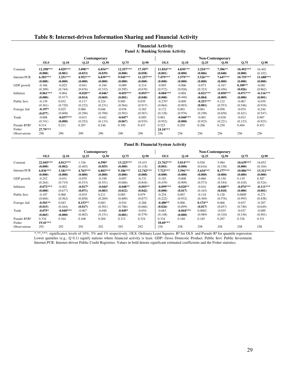## **Table 8: Internet-driven Information Sharing and Financial Activity**

#### **Financial Activity Panel A: Banking System Activity**

|                                |                   |             |            | Contemporary |             |             |                     |             | <b>Non-Contemporary</b> |             |             |             |
|--------------------------------|-------------------|-------------|------------|--------------|-------------|-------------|---------------------|-------------|-------------------------|-------------|-------------|-------------|
|                                | <b>OLS</b>        | Q.10        | Q.25       | Q.50         | Q.75        | Q.90        | <b>OLS</b>          | Q.10        | Q.25                    | Q.50        | Q.75        | Q.90        |
| Constant                       | 12.298***         | 4.029***    | 3.098**    | $6.854**$    | 12.557***   | 17.507*     | 11.854***           | 4.830***    | $3.254***$              | $7.506**$   | 10.492***   | 16.403      |
|                                | (0.000)           | (0.001)     | (0.033)    | (0.039)      | (0.000)     | (0.058)     | (0.001)             | (0.000)     | (0.006)                 | (0.048)     | (0.000)     | (0.102)     |
| Internet.PCR                   | $6.583***$        | $3.251***$  | 4.952***   | $6.839***$   | 9.945***    | $11.257***$ | 7.479***            | 3.579***    | 5.526***                | $7.647***$  | 10.755***   | 11.688***   |
|                                | (0.000)           | (0.000)     | (0.000)    | (0.000)      | (0.000)     | (0.000)     | (0.000)             | (0.000)     | (0.000)                 | (0.000)     | (0.000)     | (0.000)     |
| GDP growth                     | $-0.166$          | $-0.025$    | $-0.041$   | $-0.184$     | $-0.089$    | $-0.214$    | $-0.093$            | $-0.006$    | $-0.073$                | $-0.167$    | $0.309**$   | $-0.081$    |
|                                | (0.309)           | (0.744)     | (0.676)    | (0.332)      | (0.595)     | (0.670)     | (0.572)             | (0.926)     | (0.323)                 | (0.456)     | (0.026)     | (0.862)     |
| Inflation                      | $-0.061***$       | $-0.004$    | $-0.020**$ | $-0.046*$    | $-0.055***$ | $-0.093**$  | $-0.084***$         | $-0.004$    | $-0.021***$             | $-0.050***$ | $-0.071***$ | $-0.116***$ |
|                                | (0.000)           | (0.417)     | (0.014)    | (0.069)      | (0.001)     | (0.040)     | (0.000)             | (0.446)     | (0.004)                 | (0.009)     | (0.000)     | (0.001)     |
| Public Invt.                   | $-0.139$          | 0.032       | $-0.117$   | 0.224        | 0.085       | 0.039       | $-0.270*$           | $-0.009$    | $-0.251***$             | 0.122       | $-0.067$    | $-0.039$    |
|                                | (0.361)           | (0.720)     | (0.232)    | (0.231)      | (0.564)     | (0.917)     | (0.064)             | (0.903)     | (0.001)                 | (0.553)     | (0.546)     | (0.919)     |
| Foreign Aid                    | $-0.197*$         | 0.025       | 0.060      | 0.046        | $-0.076$    | $-0.265$    | $-0.172$            | 0.001       | 0.061                   | 0.058       | $-0.074$    | $-0.244$    |
|                                | (0.077)           | (0.608)     | (0.296)    | (0.700)      | (0.503)     | (0.567)     | (0.128)             | (0.976)     | (0.198)                 | (0.658)     | (0.421)     | (0.547)     |
| Trade                          | $-0.008$          | $-0.037***$ | $-0.015$   | $-0.042$     | $-0.047*$   | $-0.005$    | 0.001               | $-0.040***$ | $-0.001$                | $-0.038$    | $-0.033$    | 0.007       |
|                                | (0.741)           | (0.000)     | (0.252)    | (0.133)      | (0.067)     | (0.935)     | (0.952)             | (0.000)     | (0.925)                 | (0.221)     | (0.123)     | (0.923)     |
| Pseudo $R^{2}/R^{2}$<br>Fisher | 0.514<br>27.79*** | 0.211       | 0.207      | 0.246        | 0.390       | 0.437       | 0.525<br>$24.10***$ | 0.205       | 0.206                   | 0.250       | 0.404       | 0.453       |
| <b>Observations</b>            | 290               | 290         | 290        | 290          | 290         | 290         | 256                 | 256         | 256                     | 256         | 256         | 256         |

#### **Panel B: Financial System Activity**

|                                       |                       |                       |                       | <b>Contemporary</b>   |                     | <b>Non-Contemporary</b> |                       |                     |                     |                       |                      |                      |
|---------------------------------------|-----------------------|-----------------------|-----------------------|-----------------------|---------------------|-------------------------|-----------------------|---------------------|---------------------|-----------------------|----------------------|----------------------|
|                                       | <b>OLS</b>            | Q.10                  | Q.25                  | Q.50                  | Q.75                | Q.90                    | <b>OLS</b>            | Q.10                | Q.25                | Q.50                  | Q.75                 | Q.90                 |
| Constant                              | 22.045***             | $4.012***$            | .336                  | 6.590*                | $13.223***$         | 19.433                  | $21.762***$           | $5.014***$          | 0.926               | 5.984                 | $10.639***$          | 16.852               |
| Internet.PCR                          | (0.000)<br>$6.836***$ | (0.002)<br>$3.181***$ | (0.405)<br>$4.763***$ | (0.055)<br>$6.803***$ | (0.000)<br>9.186*** | (0.118)<br>12.742***    | (0.001)<br>$7.723***$ | (0.000)<br>3.596*** | (0.616)<br>5.634*** | (0.158)<br>$8.177***$ | (0.000)<br>10.886*** | (0.104)<br>13.311*** |
|                                       | (0.000)               | (0.000)               | (0.000)               | (0.000)               | (0.000)             | (0.000)                 | (0.000)               | (0.000)             | (0.000)             | (0.000)               | (0.000)              | (0.000)              |
| GDP growth                            | $-0.252$              | $-0.031$              | $-0.070$              | $-0.190$              | $-0.097$            | $-0.131$                | $-0.183$              | $-0.008$            | $-0.066$            | $-0.150$              | 0.139                | 0.307                |
|                                       | (0.264)               | (0.719)               | (0.533)               | (0.351)               | (0.606)             | (0.844)                 | (0.439)               | (0.909)             | (0.573)             | (0.544)               | (0.418)              | (0.524)              |
| Inflation                             | $-0.072***$           | $-0.002$              | $-0.017*$             | $-0.044*$             | $-0.048**$          | $-0.093**$              | $-0.099***$           | $-0.020**$          | $-0.016$            | $-0.048**$            | $-0.074***$          | $-0.111***$          |
|                                       | (0.000)               | (0.677)               | (0.071)               | (0.083)               | (0.012)             | (0.042)                 | (0.000)               | (0.017)             | (0.165)             | (0.018)               | (0.000)              | (0.001)              |
| Public Invt.                          | $-0.107$              | 0.060                 | $-0.019$              | 0.211                 | 0.085               | 0.079                   | $-0.254$              | 0.007               | $-0.118$            | 0.128                 | 0.0009               | $-0.271$             |
|                                       | (0.604)               | (0.562)               | (0.858)               | (0.269)               | (0.609)             | (0.877)                 | (0.222)               | (0.932)             | (0.369)             | (0.576)               | (0.995)              | (0.458)              |
| Foreign Aid                           | $-0.501**$            | 0.043                 | $0.153**$             | 0.083                 | $-0.034$            | $-0.268$                | $-0.480**$            | 0.006               | $0.174**$           | 0.066                 | $-0.037$             | $-0.207$             |
|                                       | (0.015)               | (0.444)               | (0.017)               | (0.501)               | (0.786)             | (0.666)                 | (0.026)               | (0.899)             | (0.017)             | (0.657)               | (0.740)              | (0.649)              |
| Trade                                 | $-0.075*$             | $-0.040***$           | $-0.007$              | $-0.040$              | $-0.049*$           | $-0.054$                | $-0.063$              | $-0.044***$         | 0.0002              | $-0.035$              | $-0.037$             | $-0.009$             |
|                                       | (0.065)               | (0.000)               | (0.602)               | (0.151)               | (0.081)             | (0.579)                 | (0.148)               | (0.000)             | (0.989)             | (0.310)               | (0.156)              | (0.901)              |
| Pseudo R <sup>2</sup> /R <sup>2</sup> | 0.334                 | 0.164                 | 0.168                 | 0.204                 | 0.312               | 0.324                   | 0.334                 | 0.160               | 0.165               | 0.207                 | 0.326                | 0.331                |
| Fisher                                | $19.41***$            |                       |                       |                       |                     |                         | $18.60***$            |                     |                     |                       |                      |                      |
| Observations                          | 292                   | 292                   | 292                   | 292                   | 292                 | 292                     | 258                   | 258                 | 258                 | 258                   | 258                  | 258                  |

\*,\*\*,\*\*\*: significance levels of 10%, 5% and 1% respectively. OLS: Ordinary Least Squares. R² for OLS and Pseudo R² for quantile regression. Lower quintiles (e.g., Q 0.1) signify nations where financial activity is least. GDP: Gross Domestic Product. Public Invt: Public Investment. Internet.PCR: Internet-driven Public Credit Registries. Values in bold denote significant estimated coefficients and the Fisher statistics.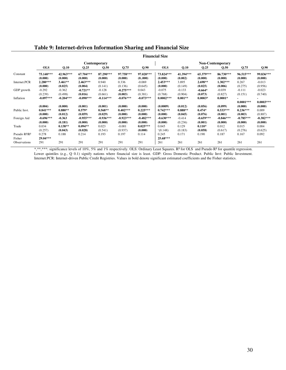|                                       | <b>Financial Size</b> |             |             |              |             |             |             |           |                         |             |             |             |  |
|---------------------------------------|-----------------------|-------------|-------------|--------------|-------------|-------------|-------------|-----------|-------------------------|-------------|-------------|-------------|--|
|                                       |                       |             |             | Contemporary |             |             |             |           | <b>Non-Contemporary</b> |             |             |             |  |
|                                       | <b>OLS</b>            | Q.10        | Q.25        | Q.50         | Q.75        | Q.90        | <b>OLS</b>  | Q.10      | Q.25                    | Q.50        | Q.75        | Q.90        |  |
| Constant                              | 75.140***             | 42.963***   | 67.704***   | 87.290***    | 97.758***   | 97.020***   | 73.824***   | 41.394*** | 65.379***               | 86.730***   | $96.515***$ | 99.836***   |  |
|                                       | (0.000)               | (0.000)     | (0.000)     | (0.000)      | (0.000)     | (0000)      | (0.000)     | (0.002)   | (0.000)                 | (0.000)     | (0.000)     | (0.000)     |  |
| Internet.PCR                          | $2.280***$            | $3.461**$   | $2.463***$  | 0.940        | 0.336       | $-0.069$    | $2.453***$  | 3.895     | 2.698**                 | $1.302***$  | 0.267       | $-0.013$    |  |
|                                       | (0.000)               | (0.025)     | (0.004)     | (0.141)      | (0.136)     | (0.645)     | (0.000)     | (0.149)   | (0.025)                 | (0.006)     | (0.275)     | (0.956)     |  |
| GDP growth                            | $-0.292$              | $-0.362$    | $-0.721**$  | $-0.128$     | $-0.275***$ | 0.043       | $-0.075$    | $-0.133$  | $-0.664*$               | $-0.039$    | $-0.111$    | $-0.023$    |  |
|                                       | (0.239)               | (0.498)     | (0.016)     | (0.661)      | (0.003)     | (0.381)     | (0.768)     | (0.904)   | (0.073)                 | (0.827)     | (0.151)     | (0.740)     |  |
| Inflation                             | $-0.097***$           | $-0.204***$ | $-0.090***$ | $-0.114***$  | $-0.076***$ | $-0.073***$ | $0.0002***$ | $0.001**$ | $0.0003*$               | $0.0001*$   |             |             |  |
|                                       |                       |             |             |              |             |             |             |           |                         |             | $0.0001***$ | $0.0003***$ |  |
|                                       | (0.004)               | (0.000)     | (0.001)     | (0.001)      | (0.000)     | (0.000)     | (0.0009)    | (0.012)   | (0.056)                 | (0.099)     | (0.000)     | (0.000)     |  |
| Public Invt.                          | $0.841***$            | $0.880**$   | $0.579*$    | $0.568**$    | $0.402***$  | $0.225***$  | $0.742***$  | $0.888**$ | $0.474*$                | $0.533***$  | $0.236***$  | 0.009       |  |
|                                       | (0.000)               | (0.012)     | (0.059)     | (0.029)      | (0.000)     | (0.000)     | (0.000)     | (0.045)   | (0.076)                 | (0.001)     | (0.003)     | (0.887)     |  |
| Foreign Aid                           | $-0.696***$           | $-0.363$    | $-0.955***$ | $-0.936***$  | $-0.923***$ | $-0.482***$ | $-0.630***$ | $-0.414$  | $-0.659***$             | $-0.846***$ | $-0.785***$ | $-0.382***$ |  |
|                                       | (0.000)               | (0.181)     | (0.000)     | (0.000)      | (0.000)     | (0.000)     | (0.000)     | (0.236)   | (0.001)                 | (0.000)     | (0.000)     | (0.000)     |  |
| Trade                                 | 0.034                 | $0.138**$   | $0.094**$   | 0.023        | $-0.001$    | $0.025***$  | 0.045       | 0.129     | $0.110*$                | 0.012       | 0.015       | 0.004       |  |
|                                       | (0.257)               | (0.043)     | (0.028)     | (0.541)      | (0.937)     | (0.000)     | (0.148)     | (0.183)   | (0.058)                 | (0.617)     | (0.276)     | (0.625)     |  |
| Pseudo R <sup>2</sup> /R <sup>2</sup> | 0.278                 | 0.188       | 0.214       | 0.193        | 0.197       | 0.114       | 0.245       | 0.171     | 0.190                   | 0.187       | 0.167       | 0.092       |  |
| Fisher                                | 29.04***              |             |             |              |             |             | $25.68***$  |           |                         |             |             |             |  |
| Observations                          | 291                   | 291         | 291         | 291          | 291         | 291         | 261         | 261       | 261                     | 261         | 261         | 261         |  |

## **Table 9: Internet-driven Information Sharing and Financial Size**

\*,\*\*,\*\*\*: significance levels of 10%, 5% and 1% respectively. OLS: Ordinary Least Squares. R² for OLS and Pseudo R² for quantile regression. Lower quintiles (e.g., Q 0.1) signify nations where financial size is least. GDP: Gross Domestic Product. Public Invt: Public Investment. Internet.PCR: Internet-driven Public Credit Registries. Values in bold denote significant estimated coefficients and the Fisher statistics.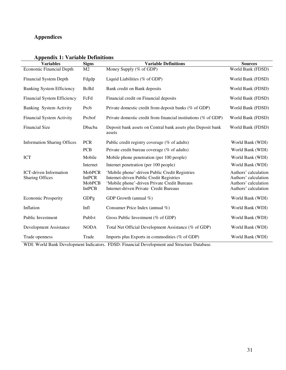## **Appendices**

| дрения 1. variable definitions<br><b>Variables</b>      | <b>Signs</b>                                              | <b>Variable Definitions</b>                                                                                                                                                          | <b>Sources</b>                                                                               |
|---------------------------------------------------------|-----------------------------------------------------------|--------------------------------------------------------------------------------------------------------------------------------------------------------------------------------------|----------------------------------------------------------------------------------------------|
| <b>Economic Financial Depth</b>                         | M <sub>2</sub>                                            | Money Supply (% of GDP)                                                                                                                                                              | World Bank (FDSD)                                                                            |
| <b>Financial System Depth</b>                           | Fdgdp                                                     | Liquid Liabilities (% of GDP)                                                                                                                                                        | World Bank (FDSD)                                                                            |
| <b>Banking System Efficiency</b>                        | <b>BcBd</b>                                               | Bank credit on Bank deposits                                                                                                                                                         | World Bank (FDSD)                                                                            |
| <b>Financial System Efficiency</b>                      | FcFd                                                      | Financial credit on Financial deposits                                                                                                                                               | World Bank (FDSD)                                                                            |
| Banking System Activity                                 | Prcb                                                      | Private domestic credit from deposit banks (% of GDP)                                                                                                                                | World Bank (FDSD)                                                                            |
| <b>Financial System Activity</b>                        | Prcbof                                                    | Private domestic credit from financial institutions (% of GDP)                                                                                                                       | World Bank (FDSD)                                                                            |
| <b>Financial Size</b>                                   | Dbacba                                                    | Deposit bank assets on Central bank assets plus Deposit bank<br>assets                                                                                                               | World Bank (FDSD)                                                                            |
| <b>Information Sharing Offices</b>                      | <b>PCR</b>                                                | Public credit registry coverage (% of adults)                                                                                                                                        | World Bank (WDI)                                                                             |
|                                                         | <b>PCB</b>                                                | Private credit bureau coverage (% of adults)                                                                                                                                         | World Bank (WDI)                                                                             |
| <b>ICT</b>                                              | Mobile                                                    | Mobile phone penetration (per 100 people)                                                                                                                                            | World Bank (WDI)                                                                             |
|                                                         | Internet                                                  | Internet penetration (per 100 people)                                                                                                                                                | World Bank (WDI)                                                                             |
| <b>ICT-driven Information</b><br><b>Sharing Offices</b> | <b>MobPCR</b><br><b>IntPCR</b><br>MobPCB<br><b>IntPCB</b> | 'Mobile phone'-driven Public Credit Registries<br>Internet-driven Public Credit Registries<br>'Mobile phone'-driven Private Credit Bureaus<br>Internet-driven Private Credit Bureaus | Authors' calculation<br>Authors' calculation<br>Authors' calculation<br>Authors' calculation |
| <b>Economic Prosperity</b>                              | GDPg                                                      | GDP Growth (annual %)                                                                                                                                                                | World Bank (WDI)                                                                             |
| Inflation                                               | Infl                                                      | Consumer Price Index (annual %)                                                                                                                                                      | World Bank (WDI)                                                                             |
| <b>Public Investment</b>                                | PubIvt                                                    | Gross Public Investment (% of GDP)                                                                                                                                                   | World Bank (WDI)                                                                             |
| Development Assistance                                  | <b>NODA</b>                                               | Total Net Official Development Assistance (% of GDP)                                                                                                                                 | World Bank (WDI)                                                                             |
| Trade openness                                          | Trade                                                     | Imports plus Exports in commodities (% of GDP)                                                                                                                                       | World Bank (WDI)                                                                             |

## **Appendix 1: Variable Definitions**

WDI: World Bank Development Indicators. FDSD: Financial Development and Structure Database.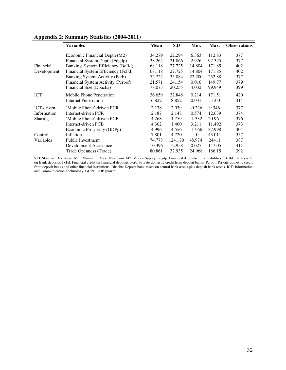|             | Variables                          | Mean   | S.D     | Min.     | Max.   | <b>Observations</b> |
|-------------|------------------------------------|--------|---------|----------|--------|---------------------|
|             | Economic Financial Depth (M2)      | 34.279 | 22.294  | 6.363    | 112.83 | 377                 |
|             | Financial System Depth (Fdgdp)     | 28.262 | 21.066  | 2.926    | 92.325 | 377                 |
| Financial   | Banking System Efficiency (BcBd)   | 68.118 | 27.725  | 14.804   | 171.85 | 402                 |
| Development | Financial System Efficiency (FcFd) | 68.118 | 27.725  | 14.804   | 171.85 | 402                 |
|             | Banking System Activity (Pcrb)     | 72.722 | 35.884  | 22.200   | 252.88 | 377                 |
|             | Financial System Activity (Pcrbof) | 21.571 | 24.154  | 0.010    | 149.77 | 379                 |
|             | Financial Size (Dbacba)            | 78.073 | 20.255  | 4.032    | 99.949 | 399                 |
| <b>ICT</b>  | Mobile Phone Penetration           | 36.659 | 32.848  | 0.214    | 171.51 | 420                 |
|             | <b>Internet Penetration</b>        | 6.822  | 8.852   | 0.031    | 51.00  | 414                 |
| ICT-driven  | 'Mobile Phone'-driven PCR          | 2.178  | 2.039   | $-0.226$ | 9.346  | 377                 |
| Information | Internet-driven PCR                | 2.187  | 2.148   | 0.574    | 12.639 | 374                 |
| Sharing     | 'Mobile Phone'-driven PCB          | 4.268  | 4.759   | $-1.332$ | 20.961 | 376                 |
|             | Internet-driven PCB                | 4.302  | 1.460   | 3.211    | 11.492 | 373                 |
|             | Economic Prosperity (GDPg)         | 4.996  | 4.556   | $-17.66$ | 37.998 | 404                 |
| Control     | Inflation                          | 7.801  | 4.720   | $\theta$ | 43.011 | 357                 |
| Variables   | <b>Public Investment</b>           | 74.778 | 1241.70 | $-8.974$ | 24411  | 387                 |
|             | Development Assistance             | 10.396 | 12.958  | 0.027    | 147.05 | 411                 |
|             | Trade Openness (Trade)             | 80.861 | 32.935  | 24.968   | 186.15 | 392                 |

## **Appendix 2: Summary Statistics (2004-2011)**

.

S.D: Standard Deviation. Min: Minimum. Max: Maximum. M2: Money Supply. Fdgdp: Financial deposits(liquid liabilities). BcBd: Bank credit on Bank deposits. FcFd: Financial credit on Financial deposits. Pcrb: Private domestic credit from deposit banks. Pcrbof: Private domestic credit from deposit banks and other financial institutions. Dbacba: Deposit bank assets on central bank assets plus deposit bank assets. ICT: Information and Communication Technology. GDPg: GDP growth.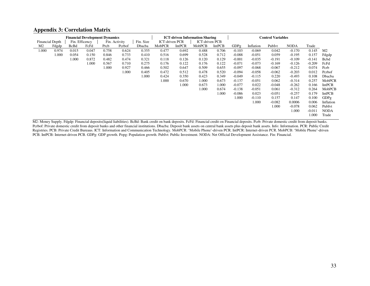| <b>Financial Development Dynamics</b>                     |       |             |           |                                  |        |        | <b>ICT-driven Information Sharing</b> |               |        |               | <b>Control Variables</b> |           |          |             |          |                |
|-----------------------------------------------------------|-------|-------------|-----------|----------------------------------|--------|--------|---------------------------------------|---------------|--------|---------------|--------------------------|-----------|----------|-------------|----------|----------------|
| <b>Financial Depth</b><br>Fin. Efficency<br>Fin. Activity |       |             | Fin. Size | ICT-driven PCR<br>ICT-driven PCB |        |        |                                       |               |        |               |                          |           |          |             |          |                |
| M <sub>2</sub>                                            | Fdgdp | <b>BcBd</b> | FcFd      | Prcb                             | Pcrbof | Dbacba | MobPCR                                | <b>IntPCR</b> | MobPCB | <b>IntPCB</b> | GDPg                     | Inflation | PubIvt   | <b>NODA</b> | Trade    |                |
| 1.000                                                     | 0.974 | 0.015       | 0.047     | 0.758                            | 0.624  | 0.355  | 0.477                                 | 0.692         | 0.488  | 0.706         | $-0.103$                 | $-0.069$  | 0.042    | $-0.170$    | 0.145    | M <sub>2</sub> |
|                                                           | 1.000 | 0.054       | 0.150     | 0.846                            | 0.733  | 0.410  | 0.516                                 | 0.699         | 0.528  | 0.712         | $-0.088$                 | $-0.051$  | 0.059    | $-0.195$    | 0.157    | Fdgdp          |
|                                                           |       | 1.000       | 0.872     | 0.482                            | 0.474  | 0.321  | 0.118                                 | 0.126         | 0.120  | 0.129         | $-0.001$                 | $-0.035$  | $-0.191$ | $-0.109$    | $-0.141$ | <b>B</b> cbd   |
|                                                           |       |             | 1.000     | 0.567                            | 0.710  | 0.275  | 0.176                                 | 0.122         | 0.176  | 0.122         | $-0.071$                 | $-0.073$  | $-0.169$ | $-0.126$    | $-0.209$ | FcFd           |
|                                                           |       |             |           | 1.000                            | 0.927  | 0.466  | 0.502                                 | 0.647         | 0.509  | 0.655         | $-0.097$                 | $-0.068$  | $-0.067$ | $-0.212$    | 0.074    | Pcrb           |
|                                                           |       |             |           |                                  | 1.000  | 0.405  | 0.472                                 | 0.512         | 0.478  | 0.520         | $-0.094$                 | $-0.058$  | $-0.062$ | $-0.203$    | 0.012    | Pcrbof         |
|                                                           |       |             |           |                                  |        | 1.000  | 0.424                                 | 0.350         | 0.423  | 0.349         | $-0.049$                 | $-0.115$  | 0.220    | $-0.493$    | 0.108    | Dbacba         |
|                                                           |       |             |           |                                  |        |        | 1.000                                 | 0.670         | 1.000  | 0.673         | $-0.137$                 | $-0.051$  | 0.062    | $-0.314$    | 0.257    | MobPCR         |
|                                                           |       |             |           |                                  |        |        |                                       | 1.000         | 0.673  | 1.000         | $-0.077$                 | 0.022     | $-0.048$ | $-0.262$    | 0.166    | <b>IntPCR</b>  |
|                                                           |       |             |           |                                  |        |        |                                       |               | 1.000  | 0.674         | $-0.138$                 | $-0.051$  | 0.061    | $-0.312$    | 0.264    | MobPCB         |
|                                                           |       |             |           |                                  |        |        |                                       |               |        | 1.000         | $-0.086$                 | 0.023     | $-0.051$ | $-0.257$    | 0.179    | <b>IntPCB</b>  |
|                                                           |       |             |           |                                  |        |        |                                       |               |        |               | 1.000                    | $-0.110$  | 0.157    | 0.147       | 0.100    | GDPg           |
|                                                           |       |             |           |                                  |        |        |                                       |               |        |               |                          | 1.000     | $-0.082$ | 0.0006      | 0.006    | Inflation      |
|                                                           |       |             |           |                                  |        |        |                                       |               |        |               |                          |           | 1.000    | $-0.078$    | 0.062    | PubIvt         |
|                                                           |       |             |           |                                  |        |        |                                       |               |        |               |                          |           |          | 1.000       | $-0.011$ | <b>NODA</b>    |
|                                                           |       |             |           |                                  |        |        |                                       |               |        |               |                          |           |          |             | 1.000    | Trade          |
|                                                           |       |             |           |                                  |        |        |                                       |               |        |               |                          |           |          |             |          |                |

## **Appendix 3: Correlation Matrix**

M2: Money Supply. Fdgdp: Financial deposits(liquid liabilities). BcBd: Bank credit on bank deposits. FcFd: Financial credit on Financial deposits. Pcrb: Private domestic credit from deposit banks. Pcrbof: Private domestic credit from deposit banks and other financial institutions. Dbacba: Deposit bank assets on central bank assets plus deposit bank assets. Info: Information. PCR: Public Credit Registries. PCB: Private Credit Bureaus. ICT: Information and Communication Technology. MobPCR: 'Mobile Phone'-driven PCR. IntPCR: Internet-driven PCR. MobPCB: 'Mobile Phone'-driven PCB. IntPCB: Internet-driven PCB. GDPg: GDP growth. Popg: Population growth. PubIvt: Public Investment. NODA: Net Official Development Assistance. Fin: Financial.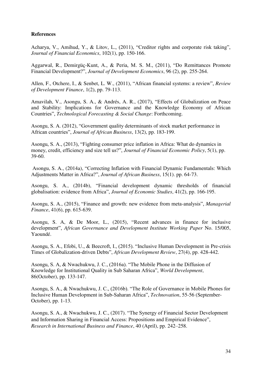## **References**

Acharya, V., Amihud, Y., & Litov, L., (2011), "Creditor rights and corporate risk taking", *Journal of Financial Economics*, 102(1), pp. 150-166.

Aggarwal, R., Demirgüç-Kunt, A., & Peria, M. S. M., (2011), "Do Remittances Promote Financial Development?", *Journal of Development Economics*, 96 (2), pp. 255-264.

Allen, F., Otchere, I., & Senbet, L. W., (2011), "African financial systems: a review", *Review of Development Finance*, 1(2), pp. 79-113.

Amavilah, V., Asongu, S. A., & Andrés, A. R., (2017), "Effects of Globalization on Peace and Stability: Implications for Governance and the Knowledge Economy of African Countries", *Technological Forecasting & Social Change*: Forthcoming.

Asongu, S. A. (2012), "Government quality determinants of stock market performance in African countries", *Journal of African Business*, 13(2), pp. 183-199.

Asongu, S. A., (2013), "Fighting consumer price inflation in Africa: What do dynamics in money, credit, efficiency and size tell us?", *Journal of Financial Economic Policy*, 5(1), pp. 39-60.

 Asongu, S. A., (2014a), "Correcting Inflation with Financial Dynamic Fundamentals: Which Adjustments Matter in Africa?", *Journal of African Business*, 15(1). pp. 64-73.

Asongu, S. A., (2014b), "Financial development dynamic thresholds of financial globalisation: evidence from Africa", *Journal of Economic Studies*, 41(2), pp. 166-195.

Asongu, S. A., (2015), "Finance and growth: new evidence from meta-analysis", *Managerial Finance*, 41(6), pp. 615-639.

Asongu, S. A, & De Moor, L., (2015), "Recent advances in finance for inclusive development", *African Governance and Development Institute Working Paper* No. 15/005, Yaoundé.

Asongu, S. A., Efobi, U., & Beecroft, I., (2015). "Inclusive Human Development in Pre-crisis Times of Globalization-driven Debts", *African Development Review*, 27(4), pp. 428-442.

Asongu, S. A, & Nwachukwu, J. C., (2016a). "The Mobile Phone in the Diffusion of Knowledge for Institutional Quality in Sub Saharan Africa", *World Development*, 86(October), pp. 133-147.

Asongu, S. A., & Nwachukwu, J. C., (2016b). "The Role of Governance in Mobile Phones for Inclusive Human Development in Sub-Saharan Africa", *Technovation*, 55-56 (September-October), pp. 1-13.

Asongu, S. A., & Nwachukwu, J. C., (2017). "The Synergy of Financial Sector Development and Information Sharing in Financial Access: Propositions and Empirical Evidence", *Research in International Business and Finance*, 40 (April), pp. 242–258.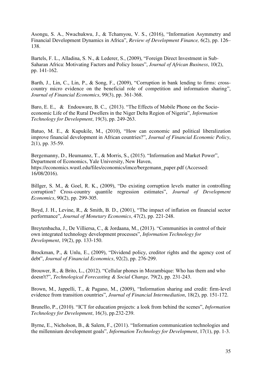Asongu, S. A., Nwachukwu, J., & Tchamyou, V. S., (2016), "Information Asymmetry and Financial Development Dynamics in Africa", *Review of Development Finance,* 6(2), pp. 126– 138.

Bartels, F. L., Alladina, S. N., & Lederer, S., (2009), "Foreign Direct Investment in Sub-Saharan Africa: Motivating Factors and Policy Issues", *Journal of African Business*, 10(2), pp. 141-162.

Barth, J., Lin, C., Lin, P., & Song, F., (2009), "Corruption in bank lending to firms: crosscountry micro evidence on the beneficial role of competition and information sharing", *Journal of Financial Economics*, 99(3), pp. 361-368.

Baro, E. E., & Endouware, B. C., (2013). "The Effects of Mobile Phone on the Socioeconomic Life of the Rural Dwellers in the Niger Delta Region of Nigeria", *Information Technology for Development*, 19(3), pp. 249-263.

Batuo, M. E., & Kupukile, M., (2010), "How can economic and political liberalization improve financial development in African countries?", *Journal of Financial Economic Policy*, 2(1), pp. 35-59.

Bergemanny, D., Heumannz, T., & Morris, S., (2015). "Information and Market Power", Department of Economics, Yale University, New Haven, https://economics.wustl.edu/files/economics/imce/bergemann\_paper.pdf (Accessed: 16/08/2016).

Billger, S. M., & Goel, R. K., (2009), "Do existing corruption levels matter in controlling corruption? Cross-country quantile regression estimates", *Journal of Development Economics*, 90(2), pp. 299-305.

Boyd, J. H., Levine, R., & Smith, B. D., (2001), "The impact of inflation on financial sector performance", *Journal of Monetary Economics*, 47(2), pp. 221-248.

Breytenbacha, J., De Villiersa, C., & Jordaana, M., (2013). "Communities in control of their own integrated technology development processes", *Information Technology for Development*, 19(2), pp. 133-150.

Brockman, P., & Unlu, E., (2009), "Dividend policy, creditor rights and the agency cost of debt", *Journal of Financial Economics*, 92(2), pp. 276-299.

Brouwer, R., & Brito, L., (2012). "Cellular phones in Mozambique: Who has them and who doesn't?", *Technological Forecasting & Social Change,* 79(2), pp. 231-243.

Brown, M., Jappelli, T., & Pagano, M., (2009), "Information sharing and credit: firm-level evidence from transition countries", *Journal of Financial Intermediation*, 18(2), pp. 151-172.

Brunello, P., (2010). "ICT for education projects: a look from behind the scenes", *Information Technology for Development*, 16(3), pp.232-239.

Byrne, E., Nicholson, B., & Salem, F., (2011). "Information communication technologies and the millennium development goals", *Information Technology for Development*, 17(1), pp. 1-3.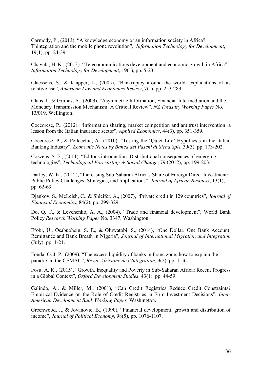Carmody, P., (2013). "A knowledge economy or an information society in Africa? Thintegration and the mobile phone revolution", *Information Technology for Development*, 19(1), pp. 24-39.

Chavula, H. K., (2013). "Telecommunications development and economic growth in Africa", *Information Technology for Development*, 19(1), pp. 5-23.

Claessens, S., & Klapper, L., (2005), "Bankruptcy around the world: explanations of its relative use", *American Law and Economics Review*, 7(1), pp. 253-283.

Claus, I., & Grimes, A., (2003), "Asymmetric Information, Financial Intermediation and the Monetary Transmission Mechanism: A Critical Review", *NZ Treasury Working Paper* No. 13/019, Wellington.

Coccorese, P., (2012), "Information sharing, market competition and antitrust intervention: a lesson from the Italian insurance sector", *Applied Economics*, 44(3), pp. 351-359.

Coccorese, P., & Pellecchia, A., (2010), "Testing the 'Quiet Life' Hypothesis in the Italian Banking Industry", *Economic Notes by Banca dei Paschi di Siena SpA*, 39(3), pp. 173-202.

Cozzens, S. E., (2011). "Editor's introduction: Distributional consequences of emerging technologies", *Technological Forecasting & Social Change*, 79 (2012), pp. 199-203.

Darley, W. K., (2012), "Increasing Sub-Saharan Africa's Share of Foreign Direct Investment: Public Policy Challenges, Strategies, and Implications", *Journal of African Business*, 13(1), pp. 62-69.

Djankov, S., McLeish, C., & Shleifer, A., (2007), "Private credit in 129 countries", *Journal of Financial Economics*, 84(2), pp. 299-329.

Do, Q. T., & Levchenko, A. A., (2004), "Trade and financial development", World Bank Policy *Research Working Paper* No. 3347, Washington.

Efobi, U., Osabuohein, S. E., & Oluwatobi, S., (2014), "One Dollar, One Bank Account: Remittance and Bank Breath in Nigeria", *Journal of International Migration and Integration* (July), pp. 1-21.

Fouda, O. J. P., (2009), "The excess liquidity of banks in Franc zone: how to explain the paradox in the CEMAC", *Revue Africaine de l'Integration*, 3(2), pp. 1-56.

Fosu, A. K., (2015), "Growth, Inequality and Poverty in Sub-Saharan Africa: Recent Progress in a Global Context", *Oxford Development Studies*, 43(1), pp. 44-59.

Galindo, A., & Miller, M., (2001), "Can Credit Registries Reduce Credit Constraints? Empirical Evidence on the Role of Credit Registries in Firm Investment Decisions", *Inter-American Development Bank Working Paper,* Washington.

Greenwood, J., & Jovanovic, B., (1990), "Financial development, growth and distribution of income", *Journal of Political Economy*, 98(5), pp. 1076-1107.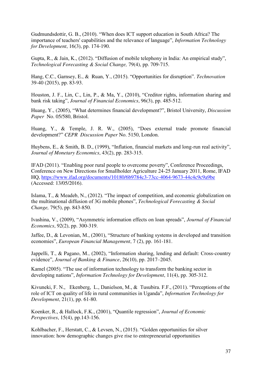Gudmundsdottir, G. B., (2010). "When does ICT support education in South Africa? The importance of teachers' capabilities and the relevance of language", *Information Technology for Development*, 16(3), pp. 174-190.

Gupta, R., & Jain, K., (2012). "Diffusion of mobile telephony in India: An empirical study", *Technological Forecasting & Social Change,* 79(4), pp. 709-715.

Hang, C.C., Garnsey, E., & Ruan, Y., (2015). "Opportunities for disruption". *Technovation* 39-40 (2015), pp. 83-93.

Houston, J. F., Lin, C., Lin, P., & Ma, Y., (2010), "Creditor rights, information sharing and bank risk taking", *Journal of Financial Economics*, 96(3), pp. 485-512.

Huang, Y., (2005), "What determines financial development?", Bristol University, *Discussion Paper* No. 05/580, Bristol.

Huang, Y., & Temple, J. R. W., (2005), "Does external trade promote financial development?" *CEPR Discussion Paper* No. 5150, London.

Huybens, E., & Smith, B. D., (1999), "Inflation, financial markets and long-run real activity", *Journal of Monetary Economics*, 43(2), pp. 283-315.

IFAD (2011). "Enabling poor rural people to overcome poverty", Conference Proceedings, Conference on New Directions for Smallholder Agriculture 24-25 January 2011, Rome, IFAD HQ, <https://www.ifad.org/documents/10180/6b9784c3-73cc-4064-9673-44c4c9c9a9be> (Accessed: 13/05/2016).

Islama, T., & Meadeb, N., (2012). "The impact of competition, and economic globalization on the multinational diffusion of 3G mobile phones", *Technological Forecasting & Social Change,* 79(5), pp. 843-850.

Ivashina, V., (2009), "Asymmetric information effects on loan spreads", *Journal of Financial Economics*, 92(2), pp. 300-319.

Jaffee, D., & Levonian, M., (2001), "Structure of banking systems in developed and transition economies", *European Financial Management*, 7 (2), pp. 161-181.

Jappelli, T., & Pagano, M., (2002), "Information sharing, lending and default: Cross-country evidence", *Journal of Banking & Finance*, 26(10), pp. 2017–2045.

Kamel (2005). "The use of information technology to transform the banking sector in developing nations", *Information Technology for Development*, 11(4), pp. 305-312.

Kivuneki, F. N., Ekenberg, L., Danielson, M., & Tusubira. F.F., (2011). "Perceptions of the role of ICT on quality of life in rural communities in Uganda", *Information Technology for Development*, 21(1), pp. 61-80.

Koenker, R., & Hallock, F.K., (2001), "Quantile regression", *Journal of Economic Perspectives*, 15(4), pp.143-156.

Kohlbacher, F., Herstatt, C., & Levsen, N., (2015). "Golden opportunities for silver innovation: how demographic changes give rise to entrepreneurial opportunities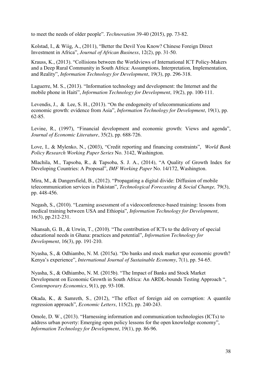to meet the needs of older people". *Technovation* 39-40 (2015), pp. 73-82.

Kolstad, I., & Wiig, A., (2011), "Better the Devil You Know? Chinese Foreign Direct Investment in Africa", *Journal of African Business*, 12(2), pp. 31-50.

Krauss, K., (2013). "Collisions between the Worldviews of International ICT Policy-Makers and a Deep Rural Community in South Africa: Assumptions, Interpretation, Implementation, and Reality", *Information Technology for Development*, 19(3), pp. 296-318.

Laguerre, M. S., (2013). "Information technology and development: the Internet and the mobile phone in Haiti", *Information Technology for Development*, 19(2), pp. 100-111.

Levendis, J., & Lee, S. H., (2013). "On the endogeneity of telecommunications and economic growth: evidence from Asia", *Information Technology for Development*, 19(1), pp. 62-85.

Levine, R., (1997), "Financial development and economic growth: Views and agenda", *Journal of Economic Literature*, 35(2), pp. 688-726.

Love, I., & Mylenko, N., (2003), "Credit reporting and financing constraints", *World Bank Policy Research Working Paper Series* No. 3142, Washington.

Mlachila, M., Tapsoba, R., & Tapsoba, S. J. A., (2014), "A Quality of Growth Index for Developing Countries: A Proposal", *IMF Working Paper* No. 14/172, Washington.

Mira, M., & Dangersfield, B., (2012). "Propagating a digital divide: Diffusion of mobile telecommunication services in Pakistan", *Technological Forecasting & Social Change,* 79(3), pp. 448-456.

Negash, S., (2010). "Learning assessment of a videoconference-based training: lessons from medical training between USA and Ethiopia", *Information Technology for Development*, 16(3), pp.212-231.

Nkansah, G. B., & Urwin, T., (2010). "The contribution of ICTs to the delivery of special educational needs in Ghana: practices and potential", *Information Technology for Development*, 16(3), pp. 191-210.

Nyasha, S., & Odhiambo, N. M. (2015a). "Do banks and stock market spur economic growth? Kenya's experience", *International Journal of Sustainable Economy*, 7(1), pp. 54-65.

Nyasha, S., & Odhiambo, N. M. (2015b). "The Impact of Banks and Stock Market Development on Economic Growth in South Africa: An ARDL-bounds Testing Approach ", *Contemporary Economics*, 9(1), pp. 93-108.

Okada, K., & Samreth, S., (2012), "The effect of foreign aid on corruption: A quantile regression approach", *Economic Letters*, 115(2), pp. 240-243.

Omole, D. W., (2013). "Harnessing information and communication technologies (ICTs) to address urban poverty: Emerging open policy lessons for the open knowledge economy", *Information Technology for Development*, 19(1), pp. 86-96.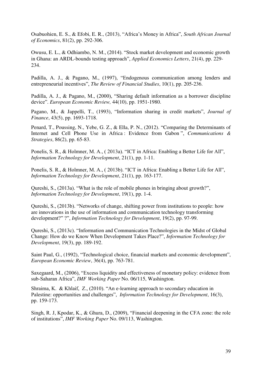Osabuohien, E. S., & Efobi, E. R., (2013), "Africa's Money in Africa", *South African Journal of Economics*, 81(2), pp. 292-306.

Owusu, E. L., & Odhiambo, N. M., (2014). "Stock market development and economic growth in Ghana: an ARDL-bounds testing approach", *Applied Economics Letters*, 21(4), pp. 229- 234.

Padilla, A. J., & Pagano, M., (1997), "Endogenous communication among lenders and entrepreneurial incentives", *The Review of Financial Studies*, 10(1), pp. 205-236.

Padilla, A. J., & Pagano, M., (2000), "Sharing default information as a borrower discipline device". *European Economic Review,* 44(10), pp. 1951-1980.

Pagano, M., & Jappelli, T., (1993), "Information sharing in credit markets", *Journal of Finance*, 43(5), pp. 1693-1718.

Penard, T., Poussing, N., Yebe, G. Z., & Ella, P. N., (2012). "Comparing the Determinants of Internet and Cell Phone Use in Africa : Evidence from Gabon ", *Communications & Strategies*, 86(2), pp. 65-83.

Ponelis, S. R., & Holmner, M. A., ( 2013a). "ICT in Africa: Enabling a Better Life for All", *Information Technology for Development*, 21(1), pp. 1-11.

Ponelis, S. R., & Holmner, M. A., ( 2013b). "ICT in Africa: Enabling a Better Life for All", *Information Technology for Development*, 21(1), pp. 163-177.

Qureshi, S., (2013a). "What is the role of mobile phones in bringing about growth?", *Information Technology for Development*, 19(1), pp. 1-4.

Qureshi, S., (2013b). "Networks of change, shifting power from institutions to people: how are innovations in the use of information and communication technology transforming development?" ?", *Information Technology for Development*, 19(2), pp. 97-99.

Qureshi, S., (2013c). "Information and Communication Technologies in the Midst of Global Change: How do we Know When Development Takes Place?", *Information Technology for Development*, 19(3), pp. 189-192.

Saint Paul, G., (1992), "Technological choice, financial markets and economic development", *European Economic Review*, 36(4), pp. 763-781.

Saxegaard, M., (2006), "Excess liquidity and effectiveness of monetary policy: evidence from sub-Saharan Africa", *IMF Working Paper* No. 06/115, Washington.

Shraima, K. & Khlaif, Z., (2010). "An e-learning approach to secondary education in Palestine: opportunities and challenges", *Information Technology for Development*, 16(3), pp. 159-173.

Singh, R. J, Kpodar, K., & Ghura, D., (2009), "Financial deepening in the CFA zone: the role of institutions", *IMF Working Paper* No. 09/113, Washington.